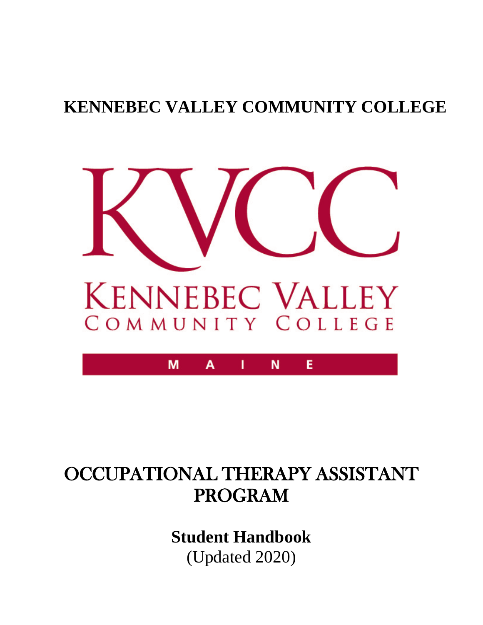# **KENNEBEC VALLEY COMMUNITY COLLEGE**



# OCCUPATIONAL THERAPY ASSISTANT PROGRAM

**Student Handbook**

(Updated 2020)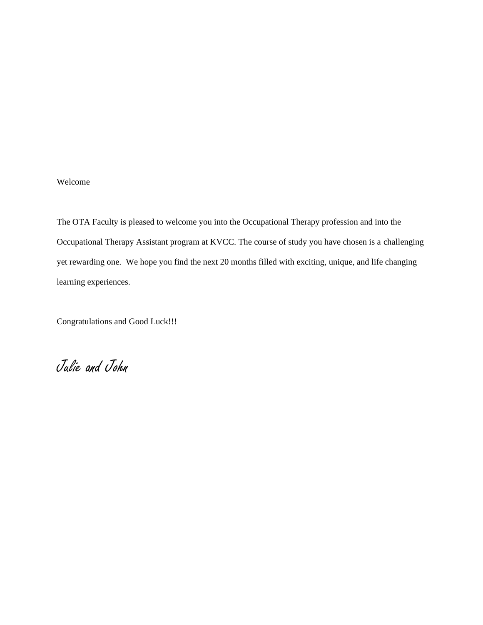#### Welcome

The OTA Faculty is pleased to welcome you into the Occupational Therapy profession and into the Occupational Therapy Assistant program at KVCC. The course of study you have chosen is a challenging yet rewarding one. We hope you find the next 20 months filled with exciting, unique, and life changing learning experiences.

Congratulations and Good Luck!!!

Julie and John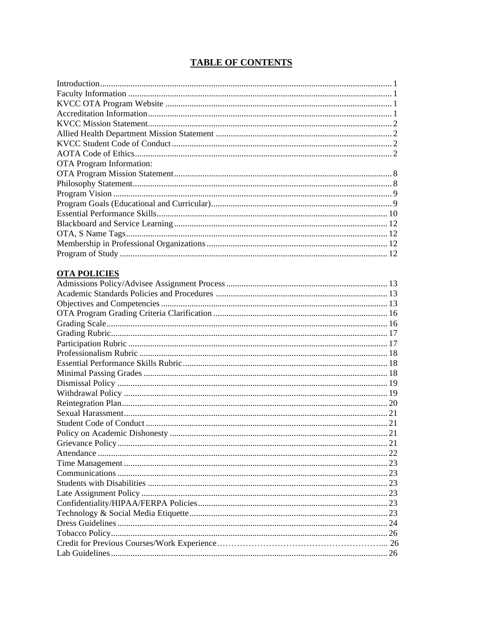# **TABLE OF CONTENTS**

| OTA Program Information: |  |  |  |
|--------------------------|--|--|--|
|                          |  |  |  |
|                          |  |  |  |
|                          |  |  |  |
|                          |  |  |  |
|                          |  |  |  |
|                          |  |  |  |
|                          |  |  |  |
|                          |  |  |  |
|                          |  |  |  |
|                          |  |  |  |
| <b>OTA POLICIES</b>      |  |  |  |
|                          |  |  |  |
|                          |  |  |  |
|                          |  |  |  |
|                          |  |  |  |
|                          |  |  |  |
|                          |  |  |  |
|                          |  |  |  |
|                          |  |  |  |
|                          |  |  |  |
|                          |  |  |  |
|                          |  |  |  |
|                          |  |  |  |
|                          |  |  |  |
|                          |  |  |  |
|                          |  |  |  |
|                          |  |  |  |
|                          |  |  |  |
|                          |  |  |  |
|                          |  |  |  |
|                          |  |  |  |
|                          |  |  |  |
|                          |  |  |  |
|                          |  |  |  |
|                          |  |  |  |
|                          |  |  |  |
|                          |  |  |  |
|                          |  |  |  |
|                          |  |  |  |
|                          |  |  |  |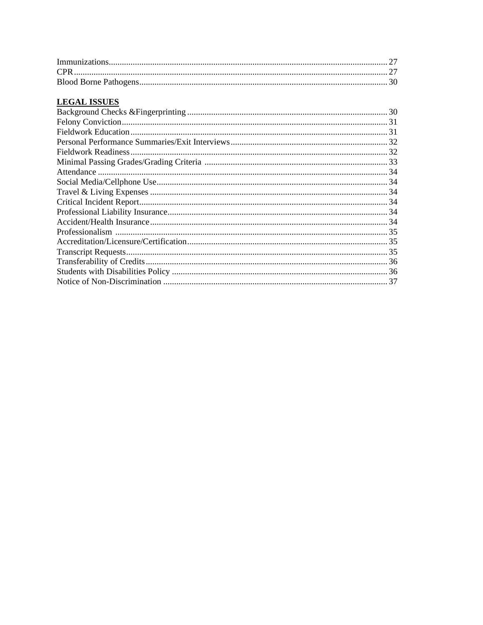# **LEGAL ISSUES**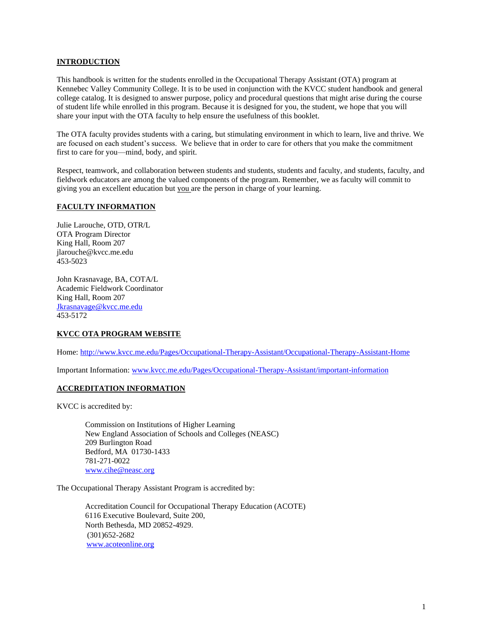#### **INTRODUCTION**

This handbook is written for the students enrolled in the Occupational Therapy Assistant (OTA) program at Kennebec Valley Community College. It is to be used in conjunction with the KVCC student handbook and general college catalog. It is designed to answer purpose, policy and procedural questions that might arise during the course of student life while enrolled in this program. Because it is designed for you, the student, we hope that you will share your input with the OTA faculty to help ensure the usefulness of this booklet.

The OTA faculty provides students with a caring, but stimulating environment in which to learn, live and thrive. We are focused on each student's success. We believe that in order to care for others that you make the commitment first to care for you—mind, body, and spirit.

Respect, teamwork, and collaboration between students and students, students and faculty, and students, faculty, and fieldwork educators are among the valued components of the program. Remember, we as faculty will commit to giving you an excellent education but you are the person in charge of your learning.

#### **FACULTY INFORMATION**

Julie Larouche, OTD, OTR/L OTA Program Director King Hall, Room 207 jlarouche@kvcc.me.edu 453-5023

John Krasnavage, BA, COTA/L Academic Fieldwork Coordinator King Hall, Room 207 [Jkrasnavage@kvcc.me.edu](mailto:Jkrasnavage@kvcc.me.edu) 453-5172

#### **KVCC OTA PROGRAM WEBSITE**

Home[: http://www.kvcc.me.edu/Pages/Occupational-Therapy-Assistant/Occupational-Therapy-Assistant-Home](http://www.kvcc.me.edu/Pages/Occupational-Therapy-Assistant/Occupational-Therapy-Assistant-Home)

Important Information: [www.kvcc.me.edu/Pages/Occupational-Therapy-Assistant/important-information](http://www.kvcc.me.edu/Pages/Occupational-Therapy-Assistant/important-information)

#### **ACCREDITATION INFORMATION**

KVCC is accredited by:

Commission on Institutions of Higher Learning New England Association of Schools and Colleges (NEASC) 209 Burlington Road Bedford, MA 01730-1433 781-271-0022 [www.cihe@neasc.org](http://www.cihe@neasc.org)

The Occupational Therapy Assistant Program is accredited by:

Accreditation Council for Occupational Therapy Education (ACOTE) 6116 Executive Boulevard, Suite 200, North Bethesda, MD 20852-4929. (301)652-2682 [www.acoteonline.org](http://www.acoteonline.org/)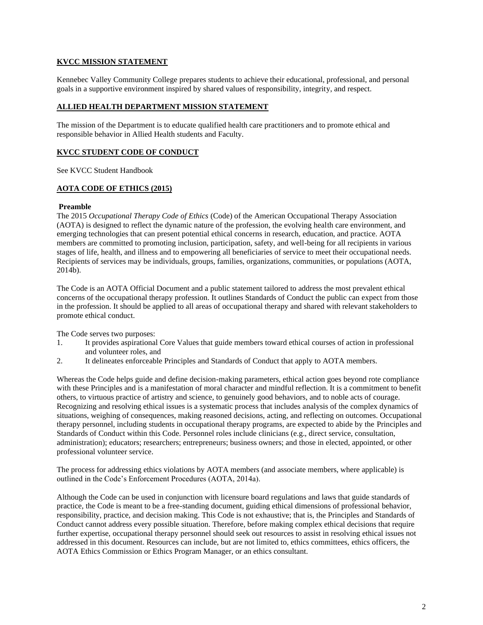## **KVCC MISSION STATEMENT**

Kennebec Valley Community College prepares students to achieve their educational, professional, and personal goals in a supportive environment inspired by shared values of responsibility, integrity, and respect.

#### **ALLIED HEALTH DEPARTMENT MISSION STATEMENT**

The mission of the Department is to educate qualified health care practitioners and to promote ethical and responsible behavior in Allied Health students and Faculty.

#### **KVCC STUDENT CODE OF CONDUCT**

See KVCC Student Handbook

#### **AOTA CODE OF ETHICS (2015)**

#### **Preamble**

The 2015 *Occupational Therapy Code of Ethics* (Code) of the American Occupational Therapy Association (AOTA) is designed to reflect the dynamic nature of the profession, the evolving health care environment, and emerging technologies that can present potential ethical concerns in research, education, and practice. AOTA members are committed to promoting inclusion, participation, safety, and well-being for all recipients in various stages of life, health, and illness and to empowering all beneficiaries of service to meet their occupational needs. Recipients of services may be individuals, groups, families, organizations, communities, or populations (AOTA, 2014b).

The Code is an AOTA Official Document and a public statement tailored to address the most prevalent ethical concerns of the occupational therapy profession. It outlines Standards of Conduct the public can expect from those in the profession. It should be applied to all areas of occupational therapy and shared with relevant stakeholders to promote ethical conduct.

The Code serves two purposes:

- 1. It provides aspirational Core Values that guide members toward ethical courses of action in professional and volunteer roles, and
- 2. It delineates enforceable Principles and Standards of Conduct that apply to AOTA members.

Whereas the Code helps guide and define decision-making parameters, ethical action goes beyond rote compliance with these Principles and is a manifestation of moral character and mindful reflection. It is a commitment to benefit others, to virtuous practice of artistry and science, to genuinely good behaviors, and to noble acts of courage. Recognizing and resolving ethical issues is a systematic process that includes analysis of the complex dynamics of situations, weighing of consequences, making reasoned decisions, acting, and reflecting on outcomes. Occupational therapy personnel, including students in occupational therapy programs, are expected to abide by the Principles and Standards of Conduct within this Code. Personnel roles include clinicians (e.g., direct service, consultation, administration); educators; researchers; entrepreneurs; business owners; and those in elected, appointed, or other professional volunteer service.

The process for addressing ethics violations by AOTA members (and associate members, where applicable) is outlined in the Code's Enforcement Procedures (AOTA, 2014a).

Although the Code can be used in conjunction with licensure board regulations and laws that guide standards of practice, the Code is meant to be a free-standing document, guiding ethical dimensions of professional behavior, responsibility, practice, and decision making. This Code is not exhaustive; that is, the Principles and Standards of Conduct cannot address every possible situation. Therefore, before making complex ethical decisions that require further expertise, occupational therapy personnel should seek out resources to assist in resolving ethical issues not addressed in this document. Resources can include, but are not limited to, ethics committees, ethics officers, the AOTA Ethics Commission or Ethics Program Manager, or an ethics consultant.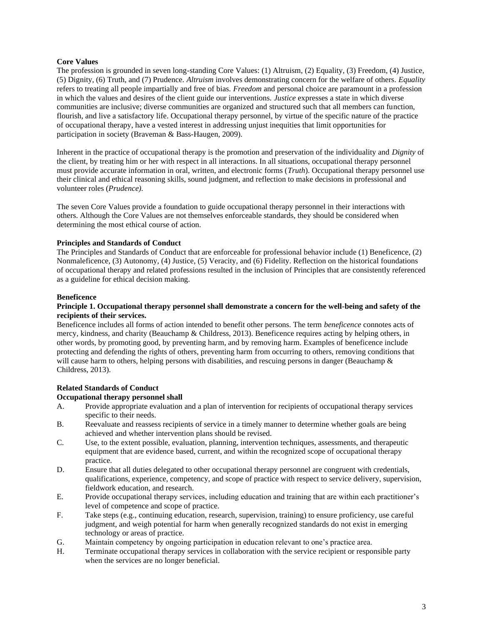#### **Core Values**

The profession is grounded in seven long-standing Core Values: (1) Altruism, (2) Equality, (3) Freedom, (4) Justice, (5) Dignity, (6) Truth, and (7) Prudence. *Altruism* involves demonstrating concern for the welfare of others. *Equality*  refers to treating all people impartially and free of bias. *Freedom* and personal choice are paramount in a profession in which the values and desires of the client guide our interventions. *Justice* expresses a state in which diverse communities are inclusive; diverse communities are organized and structured such that all members can function, flourish, and live a satisfactory life. Occupational therapy personnel, by virtue of the specific nature of the practice of occupational therapy, have a vested interest in addressing unjust inequities that limit opportunities for participation in society (Braveman & Bass-Haugen, 2009).

Inherent in the practice of occupational therapy is the promotion and preservation of the individuality and *Dignity* of the client, by treating him or her with respect in all interactions. In all situations, occupational therapy personnel must provide accurate information in oral, written, and electronic forms (*Truth*). Occupational therapy personnel use their clinical and ethical reasoning skills, sound judgment, and reflection to make decisions in professional and volunteer roles (*Prudence).* 

The seven Core Values provide a foundation to guide occupational therapy personnel in their interactions with others. Although the Core Values are not themselves enforceable standards, they should be considered when determining the most ethical course of action.

#### **Principles and Standards of Conduct**

The Principles and Standards of Conduct that are enforceable for professional behavior include (1) Beneficence, (2) Nonmaleficence, (3) Autonomy, (4) Justice, (5) Veracity, and (6) Fidelity. Reflection on the historical foundations of occupational therapy and related professions resulted in the inclusion of Principles that are consistently referenced as a guideline for ethical decision making.

#### **Beneficence**

#### **Principle 1. Occupational therapy personnel shall demonstrate a concern for the well-being and safety of the recipients of their services.**

Beneficence includes all forms of action intended to benefit other persons. The term *beneficence* connotes acts of mercy, kindness, and charity (Beauchamp & Childress, 2013). Beneficence requires acting by helping others, in other words, by promoting good, by preventing harm, and by removing harm. Examples of beneficence include protecting and defending the rights of others, preventing harm from occurring to others, removing conditions that will cause harm to others, helping persons with disabilities, and rescuing persons in danger (Beauchamp  $\&$ Childress, 2013).

#### **Related Standards of Conduct**

#### **Occupational therapy personnel shall**

- A. Provide appropriate evaluation and a plan of intervention for recipients of occupational therapy services specific to their needs.
- B. Reevaluate and reassess recipients of service in a timely manner to determine whether goals are being achieved and whether intervention plans should be revised.
- C. Use, to the extent possible, evaluation, planning, intervention techniques, assessments, and therapeutic equipment that are evidence based, current, and within the recognized scope of occupational therapy practice.
- D. Ensure that all duties delegated to other occupational therapy personnel are congruent with credentials, qualifications, experience, competency, and scope of practice with respect to service delivery, supervision, fieldwork education, and research.
- E. Provide occupational therapy services, including education and training that are within each practitioner's level of competence and scope of practice.
- F. Take steps (e.g., continuing education, research, supervision, training) to ensure proficiency, use careful judgment, and weigh potential for harm when generally recognized standards do not exist in emerging technology or areas of practice.
- G. Maintain competency by ongoing participation in education relevant to one's practice area.
- H. Terminate occupational therapy services in collaboration with the service recipient or responsible party when the services are no longer beneficial.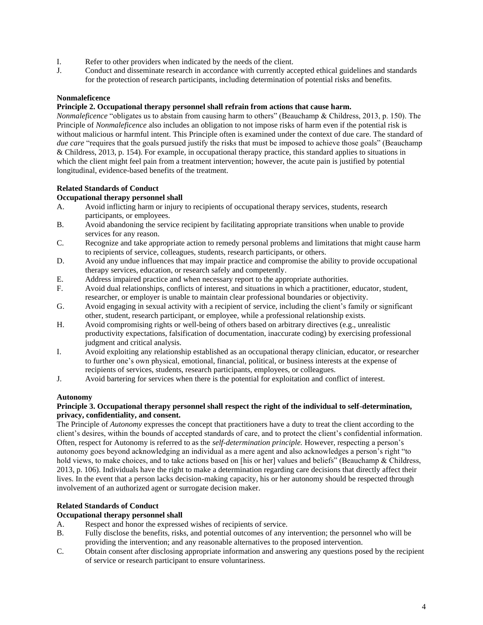- I. Refer to other providers when indicated by the needs of the client.
- J. Conduct and disseminate research in accordance with currently accepted ethical guidelines and standards for the protection of research participants, including determination of potential risks and benefits.

## **Nonmaleficence**

#### **Principle 2. Occupational therapy personnel shall refrain from actions that cause harm.**

*Nonmaleficence* "obligates us to abstain from causing harm to others" (Beauchamp & Childress, 2013, p. 150). The Principle of *Nonmaleficence* also includes an obligation to not impose risks of harm even if the potential risk is without malicious or harmful intent. This Principle often is examined under the context of due care. The standard of *due care* "requires that the goals pursued justify the risks that must be imposed to achieve those goals" (Beauchamp & Childress, 2013, p. 154). For example, in occupational therapy practice, this standard applies to situations in which the client might feel pain from a treatment intervention; however, the acute pain is justified by potential longitudinal, evidence-based benefits of the treatment.

#### **Related Standards of Conduct**

#### **Occupational therapy personnel shall**

- A. Avoid inflicting harm or injury to recipients of occupational therapy services, students, research participants, or employees.
- B. Avoid abandoning the service recipient by facilitating appropriate transitions when unable to provide services for any reason.
- C. Recognize and take appropriate action to remedy personal problems and limitations that might cause harm to recipients of service, colleagues, students, research participants, or others.
- D. Avoid any undue influences that may impair practice and compromise the ability to provide occupational therapy services, education, or research safely and competently.
- E. Address impaired practice and when necessary report to the appropriate authorities.
- F. Avoid dual relationships, conflicts of interest, and situations in which a practitioner, educator, student, researcher, or employer is unable to maintain clear professional boundaries or objectivity.
- G. Avoid engaging in sexual activity with a recipient of service, including the client's family or significant other, student, research participant, or employee, while a professional relationship exists.
- H. Avoid compromising rights or well-being of others based on arbitrary directives (e.g., unrealistic productivity expectations, falsification of documentation, inaccurate coding) by exercising professional judgment and critical analysis.
- I. Avoid exploiting any relationship established as an occupational therapy clinician, educator, or researcher to further one's own physical, emotional, financial, political, or business interests at the expense of recipients of services, students, research participants, employees, or colleagues.
- J. Avoid bartering for services when there is the potential for exploitation and conflict of interest.

#### **Autonomy**

#### **Principle 3. Occupational therapy personnel shall respect the right of the individual to self-determination, privacy, confidentiality, and consent.**

The Principle of *Autonomy* expresses the concept that practitioners have a duty to treat the client according to the client's desires, within the bounds of accepted standards of care, and to protect the client's confidential information. Often, respect for Autonomy is referred to as the *self-determination principle.* However, respecting a person's autonomy goes beyond acknowledging an individual as a mere agent and also acknowledges a person's right "to hold views, to make choices, and to take actions based on [his or her] values and beliefs" (Beauchamp & Childress, 2013, p. 106). Individuals have the right to make a determination regarding care decisions that directly affect their lives. In the event that a person lacks decision-making capacity, his or her autonomy should be respected through involvement of an authorized agent or surrogate decision maker.

#### **Related Standards of Conduct**

#### **Occupational therapy personnel shall**

- A. Respect and honor the expressed wishes of recipients of service.
- B. Fully disclose the benefits, risks, and potential outcomes of any intervention; the personnel who will be providing the intervention; and any reasonable alternatives to the proposed intervention.
- C. Obtain consent after disclosing appropriate information and answering any questions posed by the recipient of service or research participant to ensure voluntariness.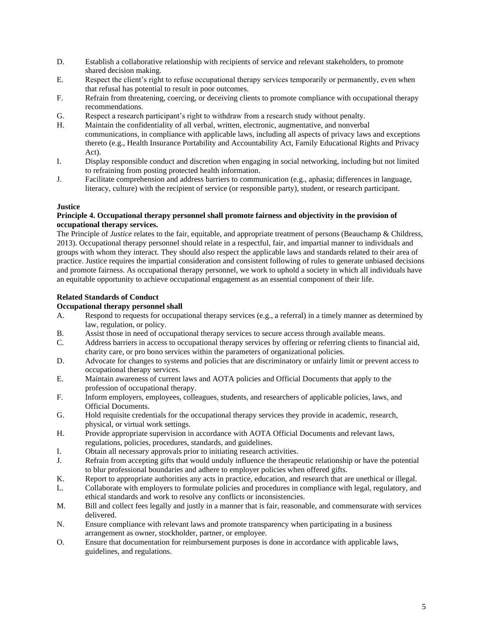- D. Establish a collaborative relationship with recipients of service and relevant stakeholders, to promote shared decision making.
- E. Respect the client's right to refuse occupational therapy services temporarily or permanently, even when that refusal has potential to result in poor outcomes.
- F. Refrain from threatening, coercing, or deceiving clients to promote compliance with occupational therapy recommendations.
- G. Respect a research participant's right to withdraw from a research study without penalty.
- H. Maintain the confidentiality of all verbal, written, electronic, augmentative, and nonverbal communications, in compliance with applicable laws, including all aspects of privacy laws and exceptions thereto (e.g., Health Insurance Portability and Accountability Act, Family Educational Rights and Privacy Act).
- I. Display responsible conduct and discretion when engaging in social networking, including but not limited to refraining from posting protected health information.
- J. Facilitate comprehension and address barriers to communication (e.g., aphasia; differences in language, literacy, culture) with the recipient of service (or responsible party), student, or research participant.

#### **Justice**

#### **Principle 4. Occupational therapy personnel shall promote fairness and objectivity in the provision of occupational therapy services.**

The Principle of *Justice* relates to the fair, equitable, and appropriate treatment of persons (Beauchamp & Childress, 2013). Occupational therapy personnel should relate in a respectful, fair, and impartial manner to individuals and groups with whom they interact. They should also respect the applicable laws and standards related to their area of practice. Justice requires the impartial consideration and consistent following of rules to generate unbiased decisions and promote fairness. As occupational therapy personnel, we work to uphold a society in which all individuals have an equitable opportunity to achieve occupational engagement as an essential component of their life.

## **Related Standards of Conduct**

## **Occupational therapy personnel shall**

- A. Respond to requests for occupational therapy services (e.g., a referral) in a timely manner as determined by law, regulation, or policy.
- B. Assist those in need of occupational therapy services to secure access through available means.
- C. Address barriers in access to occupational therapy services by offering or referring clients to financial aid, charity care, or pro bono services within the parameters of organizational policies.
- D. Advocate for changes to systems and policies that are discriminatory or unfairly limit or prevent access to occupational therapy services.
- E. Maintain awareness of current laws and AOTA policies and Official Documents that apply to the profession of occupational therapy.
- F. Inform employers, employees, colleagues, students, and researchers of applicable policies, laws, and Official Documents.
- G. Hold requisite credentials for the occupational therapy services they provide in academic, research, physical, or virtual work settings.
- H. Provide appropriate supervision in accordance with AOTA Official Documents and relevant laws, regulations, policies, procedures, standards, and guidelines.
- I. Obtain all necessary approvals prior to initiating research activities.
- J. Refrain from accepting gifts that would unduly influence the therapeutic relationship or have the potential to blur professional boundaries and adhere to employer policies when offered gifts.
- K. Report to appropriate authorities any acts in practice, education, and research that are unethical or illegal.
- L. Collaborate with employers to formulate policies and procedures in compliance with legal, regulatory, and ethical standards and work to resolve any conflicts or inconsistencies.
- M. Bill and collect fees legally and justly in a manner that is fair, reasonable, and commensurate with services delivered.
- N. Ensure compliance with relevant laws and promote transparency when participating in a business arrangement as owner, stockholder, partner, or employee.
- O. Ensure that documentation for reimbursement purposes is done in accordance with applicable laws, guidelines, and regulations.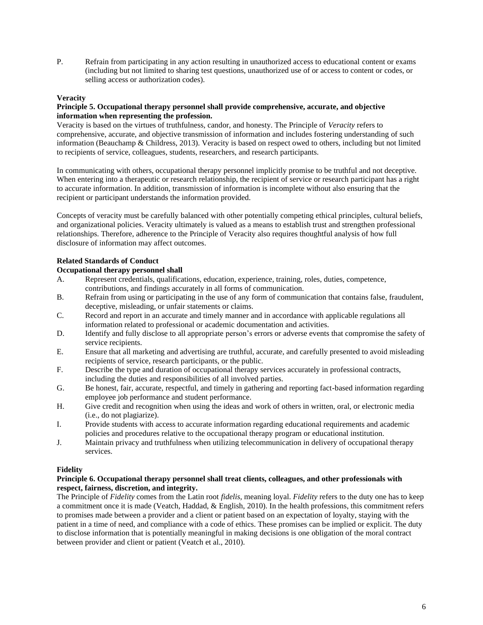P. Refrain from participating in any action resulting in unauthorized access to educational content or exams (including but not limited to sharing test questions, unauthorized use of or access to content or codes, or selling access or authorization codes).

## **Veracity**

#### **Principle 5. Occupational therapy personnel shall provide comprehensive, accurate, and objective information when representing the profession.**

Veracity is based on the virtues of truthfulness, candor, and honesty. The Principle of *Veracity* refers to comprehensive, accurate, and objective transmission of information and includes fostering understanding of such information (Beauchamp & Childress, 2013). Veracity is based on respect owed to others, including but not limited to recipients of service, colleagues, students, researchers, and research participants.

In communicating with others, occupational therapy personnel implicitly promise to be truthful and not deceptive. When entering into a therapeutic or research relationship, the recipient of service or research participant has a right to accurate information. In addition, transmission of information is incomplete without also ensuring that the recipient or participant understands the information provided.

Concepts of veracity must be carefully balanced with other potentially competing ethical principles, cultural beliefs, and organizational policies. Veracity ultimately is valued as a means to establish trust and strengthen professional relationships. Therefore, adherence to the Principle of Veracity also requires thoughtful analysis of how full disclosure of information may affect outcomes.

## **Related Standards of Conduct**

#### **Occupational therapy personnel shall**

- A. Represent credentials, qualifications, education, experience, training, roles, duties, competence, contributions, and findings accurately in all forms of communication.
- B. Refrain from using or participating in the use of any form of communication that contains false, fraudulent, deceptive, misleading, or unfair statements or claims.
- C. Record and report in an accurate and timely manner and in accordance with applicable regulations all information related to professional or academic documentation and activities.
- D. Identify and fully disclose to all appropriate person's errors or adverse events that compromise the safety of service recipients.
- E. Ensure that all marketing and advertising are truthful, accurate, and carefully presented to avoid misleading recipients of service, research participants, or the public.
- F. Describe the type and duration of occupational therapy services accurately in professional contracts, including the duties and responsibilities of all involved parties.
- G. Be honest, fair, accurate, respectful, and timely in gathering and reporting fact-based information regarding employee job performance and student performance.
- H. Give credit and recognition when using the ideas and work of others in written, oral, or electronic media (i.e., do not plagiarize).
- I. Provide students with access to accurate information regarding educational requirements and academic policies and procedures relative to the occupational therapy program or educational institution.
- J. Maintain privacy and truthfulness when utilizing telecommunication in delivery of occupational therapy services.

#### **Fidelity**

#### **Principle 6. Occupational therapy personnel shall treat clients, colleagues, and other professionals with respect, fairness, discretion, and integrity.**

The Principle of *Fidelity* comes from the Latin root *fidelis,* meaning loyal. *Fidelity* refers to the duty one has to keep a commitment once it is made (Veatch, Haddad, & English, 2010). In the health professions, this commitment refers to promises made between a provider and a client or patient based on an expectation of loyalty, staying with the patient in a time of need, and compliance with a code of ethics. These promises can be implied or explicit. The duty to disclose information that is potentially meaningful in making decisions is one obligation of the moral contract between provider and client or patient (Veatch et al., 2010).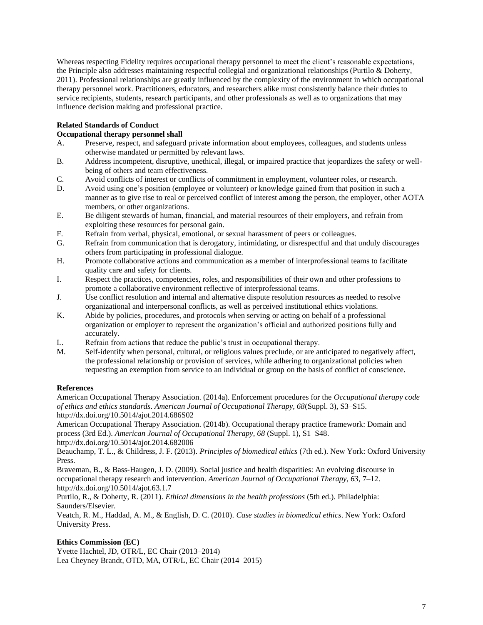Whereas respecting Fidelity requires occupational therapy personnel to meet the client's reasonable expectations, the Principle also addresses maintaining respectful collegial and organizational relationships (Purtilo & Doherty, 2011). Professional relationships are greatly influenced by the complexity of the environment in which occupational therapy personnel work. Practitioners, educators, and researchers alike must consistently balance their duties to service recipients, students, research participants, and other professionals as well as to organizations that may influence decision making and professional practice.

## **Related Standards of Conduct**

## **Occupational therapy personnel shall**

- A. Preserve, respect, and safeguard private information about employees, colleagues, and students unless otherwise mandated or permitted by relevant laws.
- B. Address incompetent, disruptive, unethical, illegal, or impaired practice that jeopardizes the safety or wellbeing of others and team effectiveness.
- C. Avoid conflicts of interest or conflicts of commitment in employment, volunteer roles, or research.
- D. Avoid using one's position (employee or volunteer) or knowledge gained from that position in such a manner as to give rise to real or perceived conflict of interest among the person, the employer, other AOTA members, or other organizations.
- E. Be diligent stewards of human, financial, and material resources of their employers, and refrain from exploiting these resources for personal gain.
- F. Refrain from verbal, physical, emotional, or sexual harassment of peers or colleagues.
- G. Refrain from communication that is derogatory, intimidating, or disrespectful and that unduly discourages others from participating in professional dialogue.
- H. Promote collaborative actions and communication as a member of interprofessional teams to facilitate quality care and safety for clients.
- I. Respect the practices, competencies, roles, and responsibilities of their own and other professions to promote a collaborative environment reflective of interprofessional teams.
- J. Use conflict resolution and internal and alternative dispute resolution resources as needed to resolve organizational and interpersonal conflicts, as well as perceived institutional ethics violations.
- K. Abide by policies, procedures, and protocols when serving or acting on behalf of a professional organization or employer to represent the organization's official and authorized positions fully and accurately.
- L. Refrain from actions that reduce the public's trust in occupational therapy.
- M. Self-identify when personal, cultural, or religious values preclude, or are anticipated to negatively affect, the professional relationship or provision of services, while adhering to organizational policies when requesting an exemption from service to an individual or group on the basis of conflict of conscience.

## **References**

American Occupational Therapy Association. (2014a). Enforcement procedures for the *Occupational therapy code of ethics and ethics standards*. *American Journal of Occupational Therapy, 68*(Suppl. 3), S3–S15. http://dx.doi.org/10.5014/ajot.2014.686S02

American Occupational Therapy Association. (2014b). Occupational therapy practice framework: Domain and process (3rd Ed.). *American Journal of Occupational Therapy, 68* (Suppl. 1), S1–S48.

http://dx.doi.org/10.5014/ajot.2014.682006

Beauchamp, T. L., & Childress, J. F. (2013). *Principles of biomedical ethics* (7th ed.). New York: Oxford University Press.

Braveman, B., & Bass-Haugen, J. D. (2009). Social justice and health disparities: An evolving discourse in occupational therapy research and intervention. *American Journal of Occupational Therapy, 63,* 7–12. http://dx.doi.org/10.5014/ajot.63.1.7

Purtilo, R., & Doherty, R. (2011). *Ethical dimensions in the health professions* (5th ed.). Philadelphia: Saunders/Elsevier.

Veatch, R. M., Haddad, A. M., & English, D. C. (2010). *Case studies in biomedical ethics*. New York: Oxford University Press.

## **Ethics Commission (EC)**

Yvette Hachtel, JD, OTR/L, EC Chair (2013–2014) Lea Cheyney Brandt, OTD, MA, OTR/L, EC Chair (2014–2015)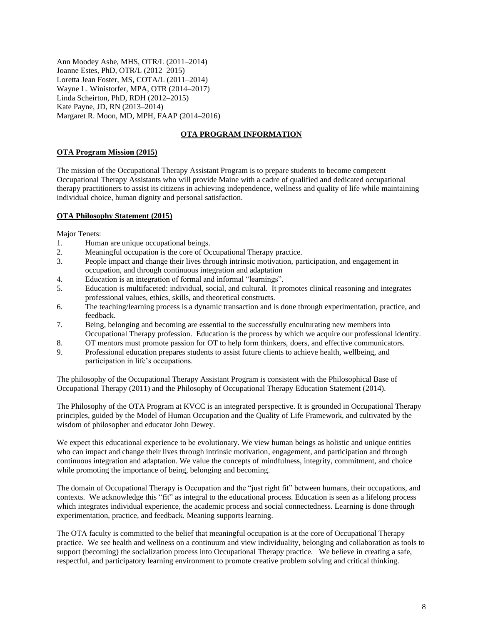Ann Moodey Ashe, MHS, OTR/L (2011–2014) Joanne Estes, PhD, OTR/L (2012–2015) Loretta Jean Foster, MS, COTA/L (2011–2014) Wayne L. Winistorfer, MPA, OTR (2014–2017) Linda Scheirton, PhD, RDH (2012–2015) Kate Payne, JD, RN (2013–2014) Margaret R. Moon, MD, MPH, FAAP (2014–2016)

## **OTA PROGRAM INFORMATION**

#### **OTA Program Mission (2015)**

The mission of the Occupational Therapy Assistant Program is to prepare students to become competent Occupational Therapy Assistants who will provide Maine with a cadre of qualified and dedicated occupational therapy practitioners to assist its citizens in achieving independence, wellness and quality of life while maintaining individual choice, human dignity and personal satisfaction.

## **OTA Philosophy Statement (2015)**

Major Tenets:

- 1. Human are unique occupational beings.
- 2. Meaningful occupation is the core of Occupational Therapy practice.
- 3. People impact and change their lives through intrinsic motivation, participation, and engagement in occupation, and through continuous integration and adaptation
- 4. Education is an integration of formal and informal "learnings".
- 5. Education is multifaceted: individual, social, and cultural. It promotes clinical reasoning and integrates professional values, ethics, skills, and theoretical constructs.
- 6. The teaching/learning process is a dynamic transaction and is done through experimentation, practice, and feedback.
- 7. Being, belonging and becoming are essential to the successfully enculturating new members into Occupational Therapy profession. Education is the process by which we acquire our professional identity.
- 8. OT mentors must promote passion for OT to help form thinkers, doers, and effective communicators.
- 9. Professional education prepares students to assist future clients to achieve health, wellbeing, and participation in life's occupations.

The philosophy of the Occupational Therapy Assistant Program is consistent with the Philosophical Base of Occupational Therapy (2011) and the Philosophy of Occupational Therapy Education Statement (2014).

The Philosophy of the OTA Program at KVCC is an integrated perspective. It is grounded in Occupational Therapy principles, guided by the Model of Human Occupation and the Quality of Life Framework, and cultivated by the wisdom of philosopher and educator John Dewey.

We expect this educational experience to be evolutionary. We view human beings as holistic and unique entities who can impact and change their lives through intrinsic motivation, engagement, and participation and through continuous integration and adaptation. We value the concepts of mindfulness, integrity, commitment, and choice while promoting the importance of being, belonging and becoming.

The domain of Occupational Therapy is Occupation and the "just right fit" between humans, their occupations, and contexts. We acknowledge this "fit" as integral to the educational process. Education is seen as a lifelong process which integrates individual experience, the academic process and social connectedness. Learning is done through experimentation, practice, and feedback. Meaning supports learning.

The OTA faculty is committed to the belief that meaningful occupation is at the core of Occupational Therapy practice. We see health and wellness on a continuum and view individuality, belonging and collaboration as tools to support (becoming) the socialization process into Occupational Therapy practice. We believe in creating a safe, respectful, and participatory learning environment to promote creative problem solving and critical thinking.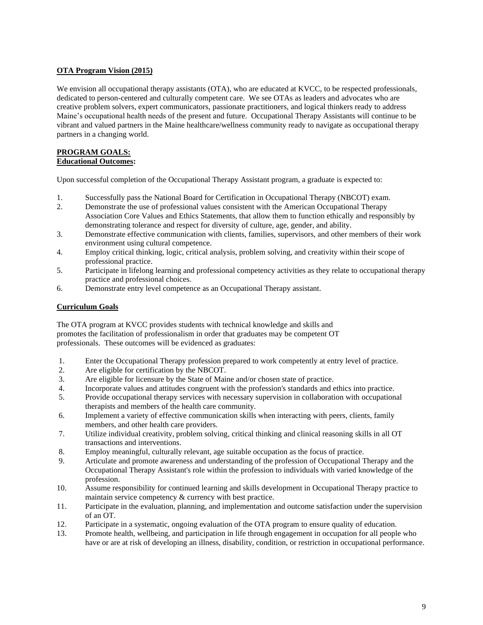## **OTA Program Vision (2015)**

We envision all occupational therapy assistants (OTA), who are educated at KVCC, to be respected professionals, dedicated to person-centered and culturally competent care. We see OTAs as leaders and advocates who are creative problem solvers, expert communicators, passionate practitioners, and logical thinkers ready to address Maine's occupational health needs of the present and future. Occupational Therapy Assistants will continue to be vibrant and valued partners in the Maine healthcare/wellness community ready to navigate as occupational therapy partners in a changing world.

#### **PROGRAM GOALS: Educational Outcomes:**

Upon successful completion of the Occupational Therapy Assistant program, a graduate is expected to:

- 1. Successfully pass the National Board for Certification in Occupational Therapy (NBCOT) exam.
- 2. Demonstrate the use of professional values consistent with the American Occupational Therapy Association Core Values and Ethics Statements, that allow them to function ethically and responsibly by demonstrating tolerance and respect for diversity of culture, age, gender, and ability.
- 3. Demonstrate effective communication with clients, families, supervisors, and other members of their work environment using cultural competence.
- 4. Employ critical thinking, logic, critical analysis, problem solving, and creativity within their scope of professional practice.
- 5. Participate in lifelong learning and professional competency activities as they relate to occupational therapy practice and professional choices.
- 6. Demonstrate entry level competence as an Occupational Therapy assistant.

## **Curriculum Goals**

The OTA program at KVCC provides students with technical knowledge and skills and promotes the facilitation of professionalism in order that graduates may be competent OT professionals. These outcomes will be evidenced as graduates:

- 1. Enter the Occupational Therapy profession prepared to work competently at entry level of practice.
- 2. Are eligible for certification by the NBCOT.
- 3. Are eligible for licensure by the State of Maine and/or chosen state of practice.
- 4. Incorporate values and attitudes congruent with the profession's standards and ethics into practice.
- 5. Provide occupational therapy services with necessary supervision in collaboration with occupational therapists and members of the health care community.
- 6. Implement a variety of effective communication skills when interacting with peers, clients, family members, and other health care providers.
- 7. Utilize individual creativity, problem solving, critical thinking and clinical reasoning skills in all OT transactions and interventions.
- 8. Employ meaningful, culturally relevant, age suitable occupation as the focus of practice.
- 9. Articulate and promote awareness and understanding of the profession of Occupational Therapy and the Occupational Therapy Assistant's role within the profession to individuals with varied knowledge of the profession.
- 10. Assume responsibility for continued learning and skills development in Occupational Therapy practice to maintain service competency & currency with best practice.
- 11. Participate in the evaluation, planning, and implementation and outcome satisfaction under the supervision of an OT.
- 12. Participate in a systematic, ongoing evaluation of the OTA program to ensure quality of education.
- 13. Promote health, wellbeing, and participation in life through engagement in occupation for all people who have or are at risk of developing an illness, disability, condition, or restriction in occupational performance.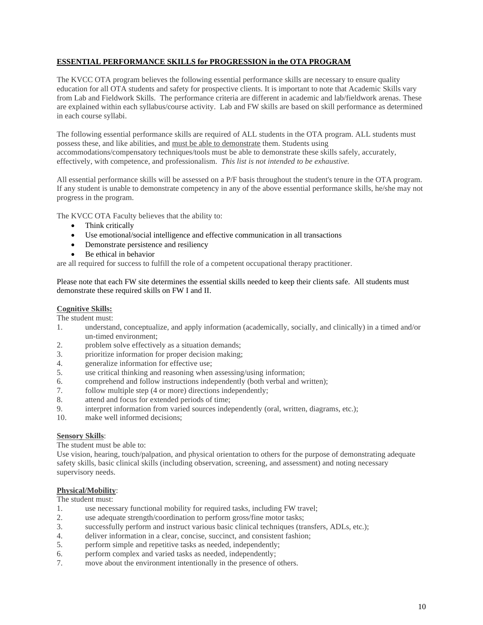## **ESSENTIAL PERFORMANCE SKILLS for PROGRESSION in the OTA PROGRAM**

The KVCC OTA program believes the following essential performance skills are necessary to ensure quality education for all OTA students and safety for prospective clients. It is important to note that Academic Skills vary from Lab and Fieldwork Skills. The performance criteria are different in academic and lab/fieldwork arenas. These are explained within each syllabus/course activity. Lab and FW skills are based on skill performance as determined in each course syllabi.

The following essential performance skills are required of ALL students in the OTA program. ALL students must possess these, and like abilities, and must be able to demonstrate them. Students using accommodations/compensatory techniques/tools must be able to demonstrate these skills safely, accurately, effectively, with competence, and professionalism. *This list is not intended to be exhaustive.*

All essential performance skills will be assessed on a P/F basis throughout the student's tenure in the OTA program. If any student is unable to demonstrate competency in any of the above essential performance skills, he/she may not progress in the program.

The KVCC OTA Faculty believes that the ability to:

- Think critically
- Use emotional/social intelligence and effective communication in all transactions
- Demonstrate persistence and resiliency
- Be ethical in behavior

are all required for success to fulfill the role of a competent occupational therapy practitioner.

Please note that each FW site determines the essential skills needed to keep their clients safe. All students must demonstrate these required skills on FW I and II.

#### **Cognitive Skills:**

The student must:

- 1. understand, conceptualize, and apply information (academically, socially, and clinically) in a timed and/or un-timed environment;
- 2. problem solve effectively as a situation demands;
- 3. prioritize information for proper decision making;
- 4. generalize information for effective use;
- 5. use critical thinking and reasoning when assessing/using information;
- 6. comprehend and follow instructions independently (both verbal and written);
- 7. follow multiple step (4 or more) directions independently;
- 8. attend and focus for extended periods of time;
- 9. interpret information from varied sources independently (oral, written, diagrams, etc.);
- 10. make well informed decisions;

## **Sensory Skills**:

The student must be able to:

Use vision, hearing, touch/palpation, and physical orientation to others for the purpose of demonstrating adequate safety skills, basic clinical skills (including observation, screening, and assessment) and noting necessary supervisory needs.

#### **Physical/Mobility**:

The student must:

- 1. use necessary functional mobility for required tasks, including FW travel;
- 2. use adequate strength/coordination to perform gross/fine motor tasks;
- 3. successfully perform and instruct various basic clinical techniques (transfers, ADLs, etc.);
- 4. deliver information in a clear, concise, succinct, and consistent fashion;
- 5. perform simple and repetitive tasks as needed, independently;
- 6. perform complex and varied tasks as needed, independently;
- 7. move about the environment intentionally in the presence of others.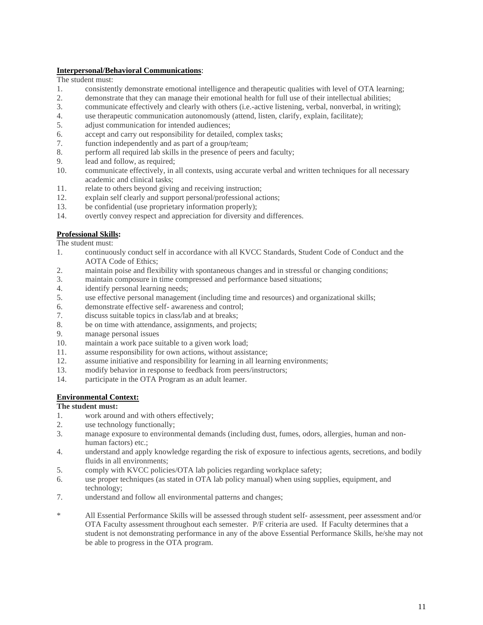#### **Interpersonal/Behavioral Communications**:

The student must:

- 1. consistently demonstrate emotional intelligence and therapeutic qualities with level of OTA learning;
- 2. demonstrate that they can manage their emotional health for full use of their intellectual abilities;
- 3. communicate effectively and clearly with others (i.e.-active listening, verbal, nonverbal, in writing);
- 4. use therapeutic communication autonomously (attend, listen, clarify, explain, facilitate);
- 5. adjust communication for intended audiences;
- 6. accept and carry out responsibility for detailed, complex tasks;
- 7. function independently and as part of a group/team;
- 8. perform all required lab skills in the presence of peers and faculty;
- 9. lead and follow, as required;
- 10. communicate effectively, in all contexts, using accurate verbal and written techniques for all necessary academic and clinical tasks;
- 11. relate to others beyond giving and receiving instruction;
- 12. explain self clearly and support personal/professional actions;
- 13. be confidential (use proprietary information properly);
- 14. overtly convey respect and appreciation for diversity and differences.

## **Professional Skills:**

The student must:

- 1. continuously conduct self in accordance with all KVCC Standards, Student Code of Conduct and the AOTA Code of Ethics;
- 2. maintain poise and flexibility with spontaneous changes and in stressful or changing conditions;
- 3. maintain composure in time compressed and performance based situations;
- 4. identify personal learning needs;
- 5. use effective personal management (including time and resources) and organizational skills;
- 6. demonstrate effective self- awareness and control;
- 7. discuss suitable topics in class/lab and at breaks;
- 8. be on time with attendance, assignments, and projects;
- 9. manage personal issues
- 10. maintain a work pace suitable to a given work load;
- 11. assume responsibility for own actions, without assistance;
- 12. assume initiative and responsibility for learning in all learning environments;<br>13. modify behavior in response to feedback from peers/instructors:
- modify behavior in response to feedback from peers/instructors;
- 14. participate in the OTA Program as an adult learner.

## **Environmental Context:**

#### **The student must:**

- 1. work around and with others effectively;
- 2. use technology functionally;
- 3. manage exposure to environmental demands (including dust, fumes, odors, allergies, human and nonhuman factors) etc.;
- 4. understand and apply knowledge regarding the risk of exposure to infectious agents, secretions, and bodily fluids in all environments;
- 5. comply with KVCC policies/OTA lab policies regarding workplace safety;
- 6. use proper techniques (as stated in OTA lab policy manual) when using supplies, equipment, and technology;
- 7. understand and follow all environmental patterns and changes;
- \* All Essential Performance Skills will be assessed through student self- assessment, peer assessment and/or OTA Faculty assessment throughout each semester. P/F criteria are used. If Faculty determines that a student is not demonstrating performance in any of the above Essential Performance Skills, he/she may not be able to progress in the OTA program.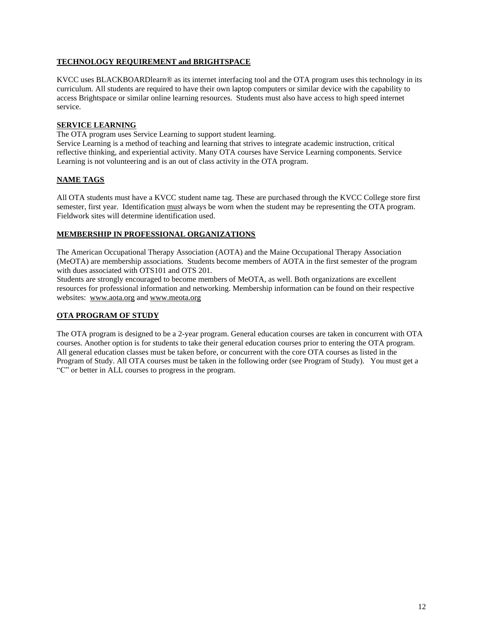## **TECHNOLOGY REQUIREMENT and BRIGHTSPACE**

KVCC uses BLACKBOARDlearn® as its internet interfacing tool and the OTA program uses this technology in its curriculum. All students are required to have their own laptop computers or similar device with the capability to access Brightspace or similar online learning resources. Students must also have access to high speed internet service.

#### **SERVICE LEARNING**

The OTA program uses Service Learning to support student learning.

Service Learning is a method of teaching and learning that strives to integrate academic instruction, critical reflective thinking, and experiential activity. Many OTA courses have Service Learning components. Service Learning is not volunteering and is an out of class activity in the OTA program.

## **NAME TAGS**

All OTA students must have a KVCC student name tag. These are purchased through the KVCC College store first semester, first year. Identification must always be worn when the student may be representing the OTA program. Fieldwork sites will determine identification used.

## **MEMBERSHIP IN PROFESSIONAL ORGANIZATIONS**

The American Occupational Therapy Association (AOTA) and the Maine Occupational Therapy Association (MeOTA) are membership associations. Students become members of AOTA in the first semester of the program with dues associated with OTS101 and OTS 201.

Students are strongly encouraged to become members of MeOTA, as well. Both organizations are excellent resources for professional information and networking. Membership information can be found on their respective websites: [www.aota.org](file:///C:/Users/mmccutcheon/AppData/Local/Microsoft/Windows/Temporary%20Internet%20Files/Content.Outlook/UCOGTV9Y/www.aota.org) and [www.meota.org](file:///C:/Users/mmccutcheon/AppData/Local/Microsoft/Windows/Temporary%20Internet%20Files/Content.Outlook/UCOGTV9Y/www.meota.org)

#### **OTA PROGRAM OF STUDY**

The OTA program is designed to be a 2-year program. General education courses are taken in concurrent with OTA courses. Another option is for students to take their general education courses prior to entering the OTA program. All general education classes must be taken before, or concurrent with the core OTA courses as listed in the Program of Study. All OTA courses must be taken in the following order (see Program of Study). You must get a "C" or better in ALL courses to progress in the program.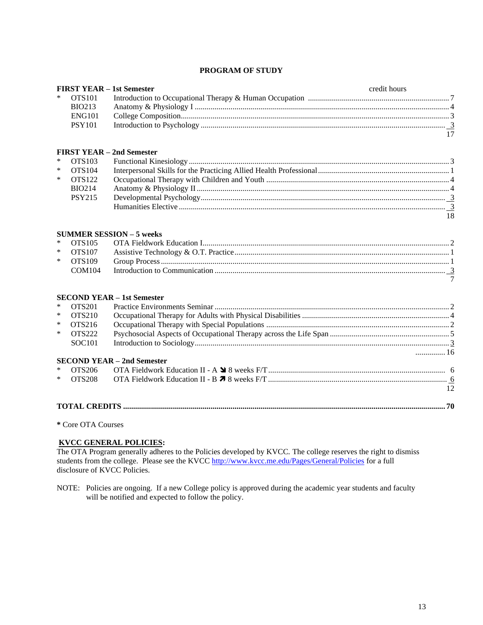#### **PROGRAM OF STUDY**

|        |                               | <b>FIRST YEAR - 1st Semester</b>  | credit hours |  |  |  |
|--------|-------------------------------|-----------------------------------|--------------|--|--|--|
|        | <b>OTS101</b>                 |                                   |              |  |  |  |
|        | <b>BIO213</b>                 |                                   |              |  |  |  |
|        | <b>ENG101</b>                 |                                   |              |  |  |  |
|        | <b>PSY101</b>                 |                                   | 17           |  |  |  |
|        |                               |                                   |              |  |  |  |
|        |                               | <b>FIRST YEAR - 2nd Semester</b>  |              |  |  |  |
| $\ast$ | <b>OTS103</b>                 |                                   |              |  |  |  |
| ∗      | OTS104                        |                                   |              |  |  |  |
| ∗      | OTS122                        |                                   |              |  |  |  |
|        | <b>BIO214</b>                 |                                   |              |  |  |  |
|        | <b>PSY215</b>                 |                                   |              |  |  |  |
|        |                               |                                   |              |  |  |  |
|        |                               |                                   | 18           |  |  |  |
|        |                               | <b>SUMMER SESSION - 5 weeks</b>   |              |  |  |  |
| $\ast$ | OTS105                        |                                   |              |  |  |  |
| ∗      | <b>OTS107</b>                 |                                   |              |  |  |  |
| ∗      | <b>OTS109</b>                 |                                   |              |  |  |  |
|        | <b>COM104</b>                 |                                   |              |  |  |  |
|        |                               |                                   |              |  |  |  |
|        |                               | <b>SECOND YEAR - 1st Semester</b> |              |  |  |  |
| $\ast$ | <b>OTS201</b>                 |                                   |              |  |  |  |
| ∗      | <b>OTS210</b>                 |                                   |              |  |  |  |
| $\ast$ | OTS216                        |                                   |              |  |  |  |
| $\ast$ | <b>OTS222</b>                 |                                   |              |  |  |  |
|        | <b>SOC101</b>                 |                                   |              |  |  |  |
|        |                               |                                   | 16           |  |  |  |
|        |                               | <b>SECOND YEAR - 2nd Semester</b> |              |  |  |  |
| ∗      | OTS206                        |                                   |              |  |  |  |
| ∗      | <b>OTS208</b>                 |                                   |              |  |  |  |
|        |                               |                                   | 12           |  |  |  |
|        |                               |                                   |              |  |  |  |
|        |                               |                                   |              |  |  |  |
|        | * Core OTA Courses            |                                   |              |  |  |  |
|        |                               |                                   |              |  |  |  |
|        | <b>KVCC GENERAL POLICIES:</b> |                                   |              |  |  |  |

The OTA Program generally adheres to the Policies developed by KVCC. The college reserves the right to dismiss students from the college. Please see the KVC[C http://www.kvcc.me.edu/Pages/General/Policies](http://www.kvcc.me.edu/Pages/General/Policies) for a full disclosure of KVCC Policies.

NOTE: Policies are ongoing. If a new College policy is approved during the academic year students and faculty will be notified and expected to follow the policy.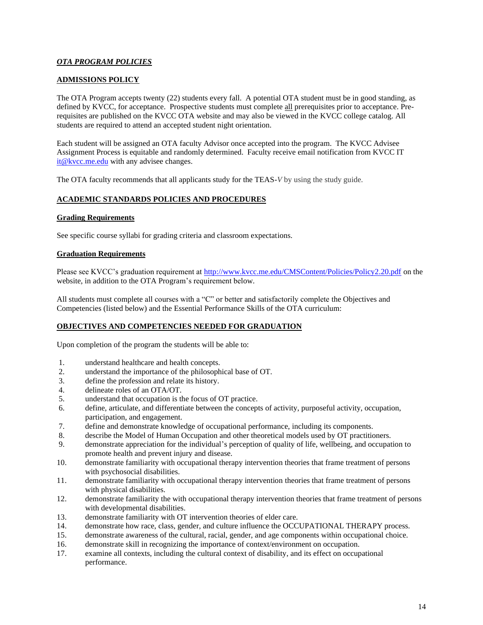## *OTA PROGRAM POLICIES*

#### **ADMISSIONS POLICY**

The OTA Program accepts twenty (22) students every fall. A potential OTA student must be in good standing, as defined by KVCC, for acceptance. Prospective students must complete all prerequisites prior to acceptance. Prerequisites are published on the KVCC OTA website and may also be viewed in the KVCC college catalog. All students are required to attend an accepted student night orientation.

Each student will be assigned an OTA faculty Advisor once accepted into the program. The KVCC Advisee Assignment Process is equitable and randomly determined. Faculty receive email notification from KVCC IT [it@kvcc.me.edu](mailto:it@kvcc.me.edu) with any advisee changes.

The OTA faculty recommends that all applicants study for the TEAS-*V* by using the study guide.

## **ACADEMIC STANDARDS POLICIES AND PROCEDURES**

#### **Grading Requirements**

See specific course syllabi for grading criteria and classroom expectations.

#### **Graduation Requirements**

Please see KVCC's graduation requirement a[t http://www.kvcc.me.edu/CMSContent/Policies/Policy2.20.pdf](http://www.kvcc.me.edu/CMSContent/Policies/Policy2.20.pdf) on the website, in addition to the OTA Program's requirement below.

All students must complete all courses with a "C" or better and satisfactorily complete the Objectives and Competencies (listed below) and the Essential Performance Skills of the OTA curriculum:

#### **OBJECTIVES AND COMPETENCIES NEEDED FOR GRADUATION**

Upon completion of the program the students will be able to:

- 1. understand healthcare and health concepts.
- 2. understand the importance of the philosophical base of OT.
- 3. define the profession and relate its history.
- 4. delineate roles of an OTA/OT.
- 5. understand that occupation is the focus of OT practice.
- 6. define, articulate, and differentiate between the concepts of activity, purposeful activity, occupation, participation, and engagement.
- 7. define and demonstrate knowledge of occupational performance, including its components.
- 8. describe the Model of Human Occupation and other theoretical models used by OT practitioners.
- 9. demonstrate appreciation for the individual's perception of quality of life, wellbeing, and occupation to promote health and prevent injury and disease.
- 10. demonstrate familiarity with occupational therapy intervention theories that frame treatment of persons with psychosocial disabilities.
- 11. demonstrate familiarity with occupational therapy intervention theories that frame treatment of persons with physical disabilities.
- 12. demonstrate familiarity the with occupational therapy intervention theories that frame treatment of persons with developmental disabilities.
- 13. demonstrate familiarity with OT intervention theories of elder care.
- 14. demonstrate how race, class, gender, and culture influence the OCCUPATIONAL THERAPY process.
- 15. demonstrate awareness of the cultural, racial, gender, and age components within occupational choice.
- 16. demonstrate skill in recognizing the importance of context/environment on occupation.
- 17. examine all contexts, including the cultural context of disability, and its effect on occupational performance.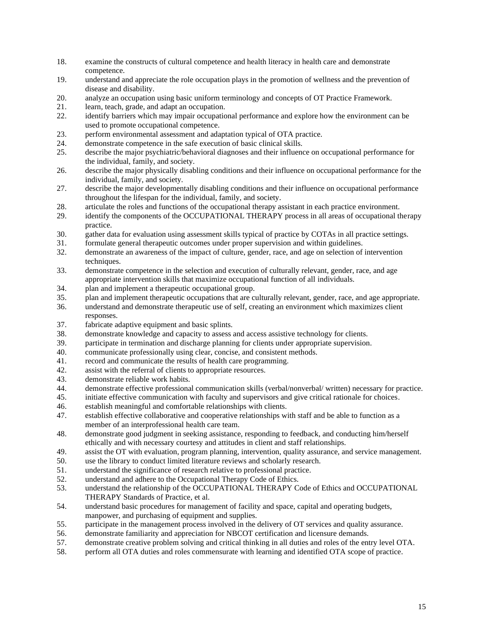- 18. examine the constructs of cultural competence and health literacy in health care and demonstrate competence.
- 19. understand and appreciate the role occupation plays in the promotion of wellness and the prevention of disease and disability.
- 20. analyze an occupation using basic uniform terminology and concepts of OT Practice Framework.
- 21. learn, teach, grade, and adapt an occupation.
- 22. identify barriers which may impair occupational performance and explore how the environment can be used to promote occupational competence.
- 23. perform environmental assessment and adaptation typical of OTA practice.
- 24. demonstrate competence in the safe execution of basic clinical skills.
- 25. describe the major psychiatric/behavioral diagnoses and their influence on occupational performance for the individual, family, and society.
- 26. describe the major physically disabling conditions and their influence on occupational performance for the individual, family, and society.
- 27. describe the major developmentally disabling conditions and their influence on occupational performance throughout the lifespan for the individual, family, and society.
- 28. articulate the roles and functions of the occupational therapy assistant in each practice environment.
- 29. identify the components of the OCCUPATIONAL THERAPY process in all areas of occupational therapy practice.
- 30. gather data for evaluation using assessment skills typical of practice by COTAs in all practice settings.
- 31. formulate general therapeutic outcomes under proper supervision and within guidelines.
- 32. demonstrate an awareness of the impact of culture, gender, race, and age on selection of intervention techniques.
- 33. demonstrate competence in the selection and execution of culturally relevant, gender, race, and age appropriate intervention skills that maximize occupational function of all individuals.
- 34. plan and implement a therapeutic occupational group.
- 35. plan and implement therapeutic occupations that are culturally relevant, gender, race, and age appropriate.
- 36. understand and demonstrate therapeutic use of self, creating an environment which maximizes client
- responses. 37. fabricate adaptive equipment and basic splints.
- 38. demonstrate knowledge and capacity to assess and access assistive technology for clients.
- 39. participate in termination and discharge planning for clients under appropriate supervision.
- 40. communicate professionally using clear, concise, and consistent methods.
- 41. record and communicate the results of health care programming.<br>42. assist with the referral of clients to appropriate resources.
- assist with the referral of clients to appropriate resources.
- 43. demonstrate reliable work habits.
- 44. demonstrate effective professional communication skills (verbal/nonverbal/ written) necessary for practice.
- 45. initiate effective communication with faculty and supervisors and give critical rationale for choices.
- 46. establish meaningful and comfortable relationships with clients.
- 47. establish effective collaborative and cooperative relationships with staff and be able to function as a member of an interprofessional health care team.
- 48. demonstrate good judgment in seeking assistance, responding to feedback, and conducting him/herself ethically and with necessary courtesy and attitudes in client and staff relationships.
- 49. assist the OT with evaluation, program planning, intervention, quality assurance, and service management.
- 50. use the library to conduct limited literature reviews and scholarly research.
- 51. understand the significance of research relative to professional practice.
- 52. understand and adhere to the Occupational Therapy Code of Ethics.
- 53. understand the relationship of the OCCUPATIONAL THERAPY Code of Ethics and OCCUPATIONAL THERAPY Standards of Practice, et al.
- 54. understand basic procedures for management of facility and space, capital and operating budgets, manpower, and purchasing of equipment and supplies.
- 55. participate in the management process involved in the delivery of OT services and quality assurance.
- 56. demonstrate familiarity and appreciation for NBCOT certification and licensure demands.
- 57. demonstrate creative problem solving and critical thinking in all duties and roles of the entry level OTA.
- 58. perform all OTA duties and roles commensurate with learning and identified OTA scope of practice.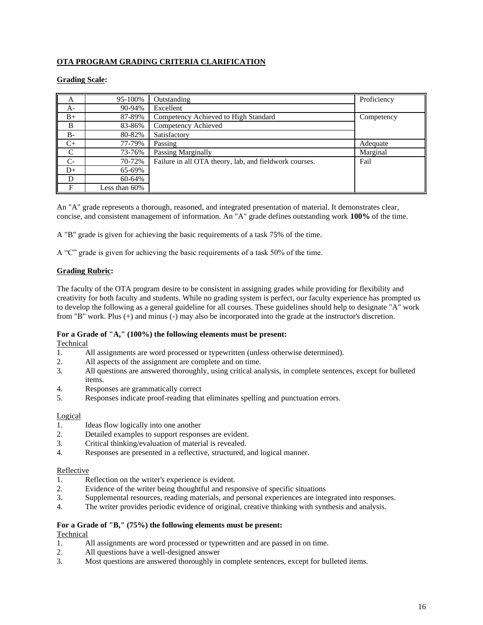## **OTA PROGRAM GRADING CRITERIA CLARIFICATION**

#### **Grading Scale:**

| $\blacktriangle$ | 95-100%       | Outstanding                                            | Proficiency |
|------------------|---------------|--------------------------------------------------------|-------------|
| $A-$             | 90-94%        | Excellent                                              |             |
| $B+$             | 87-89%        | Competency Achieved to High Standard                   | Competency  |
| B                | 83-86%        | Competency Achieved                                    |             |
| $B -$            | 80-82%        | Satisfactory                                           |             |
| $C+$             | 77-79%        | Passing                                                | Adequate    |
| С                | 73-76%        | Passing Marginally                                     | Marginal    |
| $C-$             | 70-72%        | Failure in all OTA theory, lab, and fieldwork courses. | Fail        |
| $D+$             | 65-69%        |                                                        |             |
| D                | 60-64%        |                                                        |             |
|                  | Less than 60% |                                                        |             |

An "A" grade represents a thorough, reasoned, and integrated presentation of material. It demonstrates clear, concise, and consistent management of information. An "A" grade defines outstanding work **100%** of the time.

A "B" grade is given for achieving the basic requirements of a task 75% of the time.

A "C" grade is given for achieving the basic requirements of a task 50% of the time.

## **Grading Rubric:**

The faculty of the OTA program desire to be consistent in assigning grades while providing for flexibility and creativity for both faculty and students. While no grading system is perfect, our faculty experience has prompted us to develop the following as a general guideline for all courses. These guidelines should help to designate "A" work from "B" work. Plus (+) and minus (-) may also be incorporated into the grade at the instructor's discretion.

#### **For a Grade of "A," (100%) the following elements must be present:**

Technical

- 1. All assignments are word processed or typewritten (unless otherwise determined).
- 2. All aspects of the assignment are complete and on time.
- 3. All questions are answered thoroughly, using critical analysis, in complete sentences, except for bulleted items.
- 4. Responses are grammatically correct
- 5. Responses indicate proof-reading that eliminates spelling and punctuation errors.

#### Logical

- 1. Ideas flow logically into one another
- 2. Detailed examples to support responses are evident.
- 3. Critical thinking/evaluation of material is revealed.
- 4. Responses are presented in a reflective, structured, and logical manner.

#### Reflective

- 1. Reflection on the writer's experience is evident.
- 2. Evidence of the writer being thoughtful and responsive of specific situations
- 3. Supplemental resources, reading materials, and personal experiences are integrated into responses.
- 4. The writer provides periodic evidence of original, creative thinking with synthesis and analysis.

#### **For a Grade of "B," (75%) the following elements must be present:**

Technical

- 1. All assignments are word processed or typewritten and are passed in on time.
- 2. All questions have a well-designed answer
- 3. Most questions are answered thoroughly in complete sentences, except for bulleted items.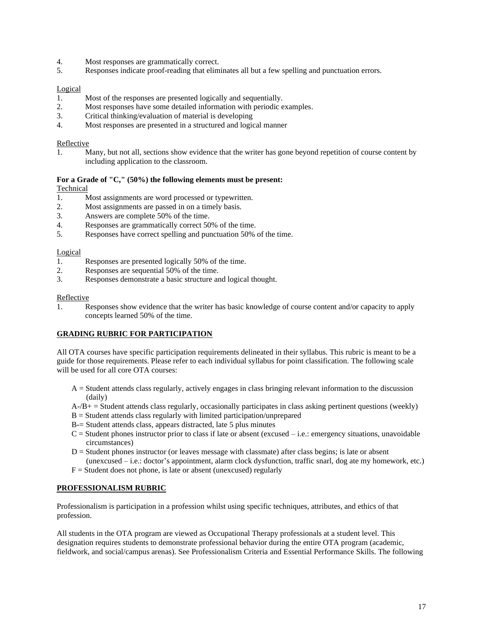- 4. Most responses are grammatically correct.
- 5. Responses indicate proof-reading that eliminates all but a few spelling and punctuation errors.

#### Logical

- 1. Most of the responses are presented logically and sequentially.
- 2. Most responses have some detailed information with periodic examples.
- 3. Critical thinking/evaluation of material is developing
- 4. Most responses are presented in a structured and logical manner

#### Reflective

1. Many, but not all, sections show evidence that the writer has gone beyond repetition of course content by including application to the classroom.

## **For a Grade of "C," (50%) the following elements must be present:**

Technical

- 1. Most assignments are word processed or typewritten.
- 2. Most assignments are passed in on a timely basis.
- 3. Answers are complete 50% of the time.
- 4. Responses are grammatically correct 50% of the time.
- 5. Responses have correct spelling and punctuation 50% of the time.

#### Logical

- 1. Responses are presented logically 50% of the time.
- 2. Responses are sequential 50% of the time.
- 3. Responses demonstrate a basic structure and logical thought.

#### Reflective

1. Responses show evidence that the writer has basic knowledge of course content and/or capacity to apply concepts learned 50% of the time.

#### **GRADING RUBRIC FOR PARTICIPATION**

All OTA courses have specific participation requirements delineated in their syllabus. This rubric is meant to be a guide for those requirements. Please refer to each individual syllabus for point classification. The following scale will be used for all core OTA courses:

- A = Student attends class regularly, actively engages in class bringing relevant information to the discussion (daily)
- $A$ -/B+ = Student attends class regularly, occasionally participates in class asking pertinent questions (weekly)
- $B =$  Student attends class regularly with limited participation/unprepared
- B-= Student attends class, appears distracted, late 5 plus minutes
- $C =$  Student phones instructor prior to class if late or absent (excused  $-i.e.:$  emergency situations, unavoidable circumstances)
- D = Student phones instructor (or leaves message with classmate) after class begins; is late or absent
- (unexcused i.e.: doctor's appointment, alarm clock dysfunction, traffic snarl, dog ate my homework, etc.)  $F =$  Student does not phone, is late or absent (unexcused) regularly

#### **PROFESSIONALISM RUBRIC**

Professionalism is participation in a profession whilst using specific techniques, attributes, and ethics of that profession.

All students in the OTA program are viewed as Occupational Therapy professionals at a student level. This designation requires students to demonstrate professional behavior during the entire OTA program (academic, fieldwork, and social/campus arenas). See Professionalism Criteria and Essential Performance Skills. The following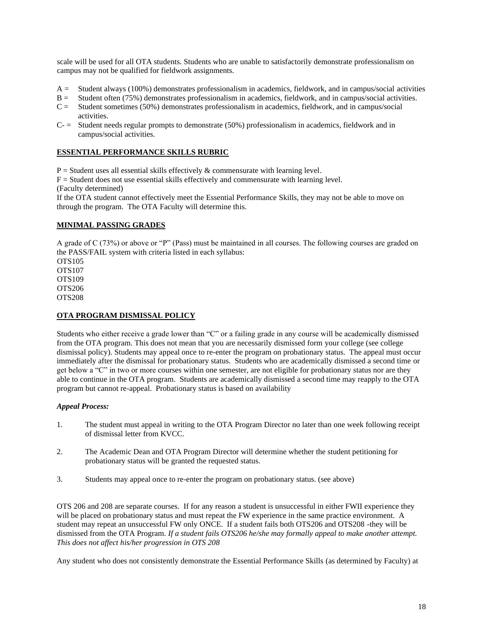scale will be used for all OTA students. Students who are unable to satisfactorily demonstrate professionalism on campus may not be qualified for fieldwork assignments.

- $A =$  Student always (100%) demonstrates professionalism in academics, fieldwork, and in campus/social activities
- B = Student often (75%) demonstrates professionalism in academics, fieldwork, and in campus/social activities.
- $C =$  Student sometimes (50%) demonstrates professionalism in academics, fieldwork, and in campus/social activities.
- C- = Student needs regular prompts to demonstrate (50%) professionalism in academics, fieldwork and in campus/social activities.

#### **ESSENTIAL PERFORMANCE SKILLS RUBRIC**

 $P =$  Student uses all essential skills effectively  $\&$  commensurate with learning level.

 $F =$  Student does not use essential skills effectively and commensurate with learning level.

(Faculty determined)

If the OTA student cannot effectively meet the Essential Performance Skills, they may not be able to move on through the program. The OTA Faculty will determine this.

## **MINIMAL PASSING GRADES**

A grade of C (73%) or above or "P" (Pass) must be maintained in all courses. The following courses are graded on the PASS/FAIL system with criteria listed in each syllabus:

OTS105 OTS107 OTS109 OTS206 OTS208

#### **OTA PROGRAM DISMISSAL POLICY**

Students who either receive a grade lower than "C" or a failing grade in any course will be academically dismissed from the OTA program. This does not mean that you are necessarily dismissed form your college (see college dismissal policy). Students may appeal once to re-enter the program on probationary status. The appeal must occur immediately after the dismissal for probationary status. Students who are academically dismissed a second time or get below a "C" in two or more courses within one semester, are not eligible for probationary status nor are they able to continue in the OTA program. Students are academically dismissed a second time may reapply to the OTA program but cannot re-appeal. Probationary status is based on availability

#### *Appeal Process:*

- 1. The student must appeal in writing to the OTA Program Director no later than one week following receipt of dismissal letter from KVCC.
- 2. The Academic Dean and OTA Program Director will determine whether the student petitioning for probationary status will be granted the requested status.
- 3. Students may appeal once to re-enter the program on probationary status. (see above)

OTS 206 and 208 are separate courses. If for any reason a student is unsuccessful in either FWII experience they will be placed on probationary status and must repeat the FW experience in the same practice environment. A student may repeat an unsuccessful FW only ONCE. If a student fails both OTS206 and OTS208 -they will be dismissed from the OTA Program. *If a student fails OTS206 he/she may formally appeal to make another attempt. This does not affect his/her progression in OTS 208*

Any student who does not consistently demonstrate the Essential Performance Skills (as determined by Faculty) at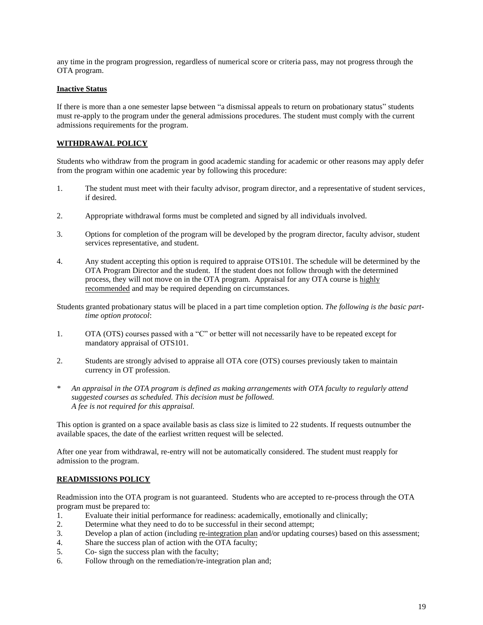any time in the program progression, regardless of numerical score or criteria pass, may not progress through the OTA program.

#### **Inactive Status**

If there is more than a one semester lapse between "a dismissal appeals to return on probationary status" students must re-apply to the program under the general admissions procedures. The student must comply with the current admissions requirements for the program.

## **WITHDRAWAL POLICY**

Students who withdraw from the program in good academic standing for academic or other reasons may apply defer from the program within one academic year by following this procedure:

- 1. The student must meet with their faculty advisor, program director, and a representative of student services, if desired.
- 2. Appropriate withdrawal forms must be completed and signed by all individuals involved.
- 3. Options for completion of the program will be developed by the program director, faculty advisor, student services representative, and student.
- 4. Any student accepting this option is required to appraise OTS101. The schedule will be determined by the OTA Program Director and the student. If the student does not follow through with the determined process, they will not move on in the OTA program. Appraisal for any OTA course is highly recommended and may be required depending on circumstances.

Students granted probationary status will be placed in a part time completion option. *The following is the basic parttime option protocol*:

- 1. OTA (OTS) courses passed with a "C" or better will not necessarily have to be repeated except for mandatory appraisal of OTS101.
- 2. Students are strongly advised to appraise all OTA core (OTS) courses previously taken to maintain currency in OT profession.
- \* *An appraisal in the OTA program is defined as making arrangements with OTA faculty to regularly attend suggested courses as scheduled. This decision must be followed. A fee is not required for this appraisal.*

This option is granted on a space available basis as class size is limited to 22 students. If requests outnumber the available spaces, the date of the earliest written request will be selected.

After one year from withdrawal, re-entry will not be automatically considered. The student must reapply for admission to the program.

#### **READMISSIONS POLICY**

Readmission into the OTA program is not guaranteed. Students who are accepted to re-process through the OTA program must be prepared to:

- 1. Evaluate their initial performance for readiness: academically, emotionally and clinically;
- 2. Determine what they need to do to be successful in their second attempt;
- 3. Develop a plan of action (including re-integration plan and/or updating courses) based on this assessment;
- 4. Share the success plan of action with the OTA faculty;
- 5. Co- sign the success plan with the faculty;
- 6. Follow through on the remediation/re-integration plan and;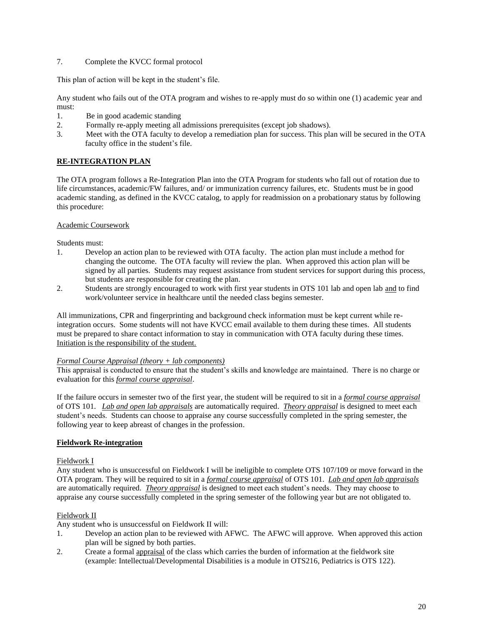#### 7. Complete the KVCC formal protocol

This plan of action will be kept in the student's file.

Any student who fails out of the OTA program and wishes to re-apply must do so within one (1) academic year and must:

- 1. Be in good academic standing
- 2. Formally re-apply meeting all admissions prerequisites (except job shadows).
- 3. Meet with the OTA faculty to develop a remediation plan for success. This plan will be secured in the OTA faculty office in the student's file.

## **RE-INTEGRATION PLAN**

The OTA program follows a Re-Integration Plan into the OTA Program for students who fall out of rotation due to life circumstances, academic/FW failures, and/ or immunization currency failures, etc. Students must be in good academic standing, as defined in the KVCC catalog, to apply for readmission on a probationary status by following this procedure:

#### Academic Coursework

Students must:

- 1. Develop an action plan to be reviewed with OTA faculty. The action plan must include a method for changing the outcome. The OTA faculty will review the plan. When approved this action plan will be signed by all parties. Students may request assistance from student services for support during this process, but students are responsible for creating the plan.
- 2. Students are strongly encouraged to work with first year students in OTS 101 lab and open lab and to find work/volunteer service in healthcare until the needed class begins semester.

All immunizations, CPR and fingerprinting and background check information must be kept current while reintegration occurs. Some students will not have KVCC email available to them during these times. All students must be prepared to share contact information to stay in communication with OTA faculty during these times. Initiation is the responsibility of the student.

## *Formal Course Appraisal (theory + lab components)*

This appraisal is conducted to ensure that the student's skills and knowledge are maintained. There is no charge or evaluation for this *formal course appraisal*.

If the failure occurs in semester two of the first year, the student will be required to sit in a *formal course appraisal* of OTS 101. *Lab and open lab appraisals* are automatically required. *Theory appraisal* is designed to meet each student's needs. Students can choose to appraise any course successfully completed in the spring semester, the following year to keep abreast of changes in the profession.

#### **Fieldwork Re-integration**

#### Fieldwork I

Any student who is unsuccessful on Fieldwork I will be ineligible to complete OTS 107/109 or move forward in the OTA program. They will be required to sit in a *formal course appraisal* of OTS 101. *Lab and open lab appraisals* are automatically required. *Theory appraisal* is designed to meet each student's needs. They may choose to appraise any course successfully completed in the spring semester of the following year but are not obligated to.

#### Fieldwork II

Any student who is unsuccessful on Fieldwork II will:

- 1. Develop an action plan to be reviewed with AFWC. The AFWC will approve. When approved this action plan will be signed by both parties.
- 2. Create a formal appraisal of the class which carries the burden of information at the fieldwork site (example: Intellectual/Developmental Disabilities is a module in OTS216, Pediatrics is OTS 122).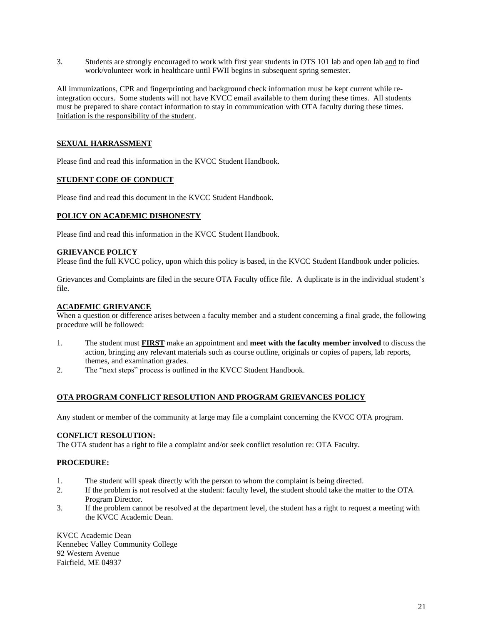3. Students are strongly encouraged to work with first year students in OTS 101 lab and open lab and to find work/volunteer work in healthcare until FWII begins in subsequent spring semester.

All immunizations, CPR and fingerprinting and background check information must be kept current while reintegration occurs. Some students will not have KVCC email available to them during these times. All students must be prepared to share contact information to stay in communication with OTA faculty during these times. Initiation is the responsibility of the student.

## **SEXUAL HARRASSMENT**

Please find and read this information in the KVCC Student Handbook.

## **STUDENT CODE OF CONDUCT**

Please find and read this document in the KVCC Student Handbook.

#### **POLICY ON ACADEMIC DISHONESTY**

Please find and read this information in the KVCC Student Handbook.

#### **GRIEVANCE POLICY**

Please find the full KVCC policy, upon which this policy is based, in the KVCC Student Handbook under policies.

Grievances and Complaints are filed in the secure OTA Faculty office file. A duplicate is in the individual student's file.

## **ACADEMIC GRIEVANCE**

When a question or difference arises between a faculty member and a student concerning a final grade, the following procedure will be followed:

- 1. The student must **FIRST** make an appointment and **meet with the faculty member involved** to discuss the action, bringing any relevant materials such as course outline, originals or copies of papers, lab reports, themes, and examination grades.
- 2. The "next steps" process is outlined in the KVCC Student Handbook.

## **OTA PROGRAM CONFLICT RESOLUTION AND PROGRAM GRIEVANCES POLICY**

Any student or member of the community at large may file a complaint concerning the KVCC OTA program.

#### **CONFLICT RESOLUTION:**

The OTA student has a right to file a complaint and/or seek conflict resolution re: OTA Faculty.

#### **PROCEDURE:**

- 1. The student will speak directly with the person to whom the complaint is being directed.
- 2. If the problem is not resolved at the student: faculty level, the student should take the matter to the OTA Program Director.
- 3. If the problem cannot be resolved at the department level, the student has a right to request a meeting with the KVCC Academic Dean.

KVCC Academic Dean Kennebec Valley Community College 92 Western Avenue Fairfield, ME 04937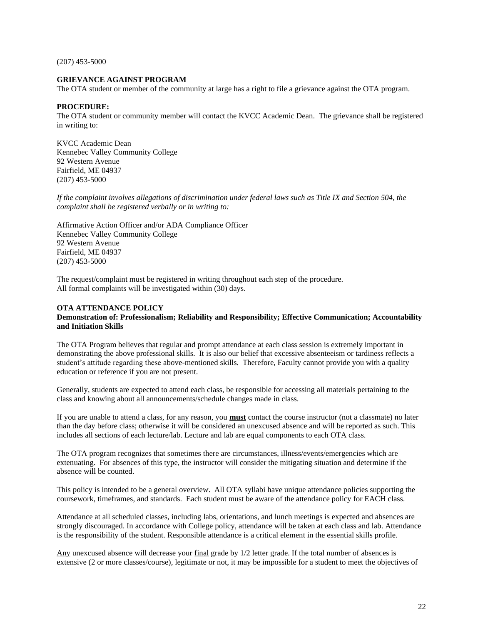(207) 453-5000

#### **GRIEVANCE AGAINST PROGRAM**

The OTA student or member of the community at large has a right to file a grievance against the OTA program.

#### **PROCEDURE:**

The OTA student or community member will contact the KVCC Academic Dean. The grievance shall be registered in writing to:

KVCC Academic Dean Kennebec Valley Community College 92 Western Avenue Fairfield, ME 04937 (207) 453-5000

*If the complaint involves allegations of discrimination under federal laws such as Title IX and Section 504, the complaint shall be registered verbally or in writing to:* 

Affirmative Action Officer and/or ADA Compliance Officer Kennebec Valley Community College 92 Western Avenue Fairfield, ME 04937 (207) 453-5000

The request/complaint must be registered in writing throughout each step of the procedure. All formal complaints will be investigated within (30) days.

#### **OTA ATTENDANCE POLICY**

#### **Demonstration of: Professionalism; Reliability and Responsibility; Effective Communication; Accountability and Initiation Skills**

The OTA Program believes that regular and prompt attendance at each class session is extremely important in demonstrating the above professional skills. It is also our belief that excessive absenteeism or tardiness reflects a student's attitude regarding these above-mentioned skills. Therefore, Faculty cannot provide you with a quality education or reference if you are not present.

Generally, students are expected to attend each class, be responsible for accessing all materials pertaining to the class and knowing about all announcements/schedule changes made in class.

If you are unable to attend a class, for any reason, you **must** contact the course instructor (not a classmate) no later than the day before class; otherwise it will be considered an unexcused absence and will be reported as such. This includes all sections of each lecture/lab. Lecture and lab are equal components to each OTA class.

The OTA program recognizes that sometimes there are circumstances, illness/events/emergencies which are extenuating. For absences of this type, the instructor will consider the mitigating situation and determine if the absence will be counted.

This policy is intended to be a general overview. All OTA syllabi have unique attendance policies supporting the coursework, timeframes, and standards. Each student must be aware of the attendance policy for EACH class.

Attendance at all scheduled classes, including labs, orientations, and lunch meetings is expected and absences are strongly discouraged. In accordance with College policy, attendance will be taken at each class and lab. Attendance is the responsibility of the student. Responsible attendance is a critical element in the essential skills profile.

Any unexcused absence will decrease your final grade by  $1/2$  letter grade. If the total number of absences is extensive (2 or more classes/course), legitimate or not, it may be impossible for a student to meet the objectives of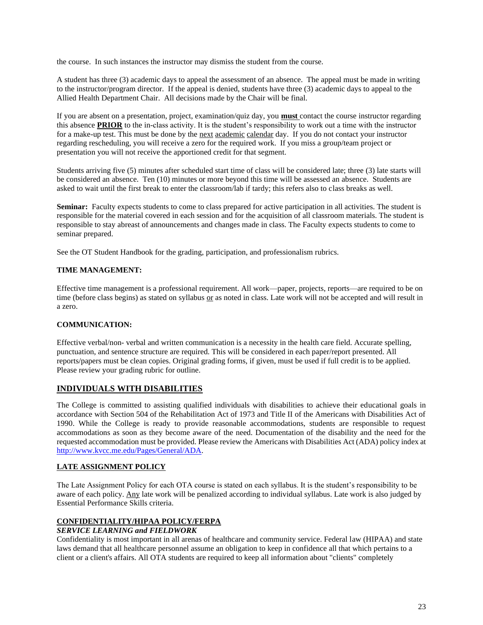the course. In such instances the instructor may dismiss the student from the course.

A student has three (3) academic days to appeal the assessment of an absence. The appeal must be made in writing to the instructor/program director. If the appeal is denied, students have three (3) academic days to appeal to the Allied Health Department Chair. All decisions made by the Chair will be final.

If you are absent on a presentation, project, examination/quiz day, you **must** contact the course instructor regarding this absence **PRIOR** to the in-class activity. It is the student's responsibility to work out a time with the instructor for a make-up test. This must be done by the next academic calendar day. If you do not contact your instructor regarding rescheduling, you will receive a zero for the required work. If you miss a group/team project or presentation you will not receive the apportioned credit for that segment.

Students arriving five (5) minutes after scheduled start time of class will be considered late; three (3) late starts will be considered an absence. Ten (10) minutes or more beyond this time will be assessed an absence. Students are asked to wait until the first break to enter the classroom/lab if tardy; this refers also to class breaks as well.

**Seminar:** Faculty expects students to come to class prepared for active participation in all activities. The student is responsible for the material covered in each session and for the acquisition of all classroom materials. The student is responsible to stay abreast of announcements and changes made in class. The Faculty expects students to come to seminar prepared.

See the OT Student Handbook for the grading, participation, and professionalism rubrics.

#### **TIME MANAGEMENT:**

Effective time management is a professional requirement. All work—paper, projects, reports—are required to be on time (before class begins) as stated on syllabus or as noted in class. Late work will not be accepted and will result in a zero.

#### **COMMUNICATION:**

Effective verbal/non- verbal and written communication is a necessity in the health care field. Accurate spelling, punctuation, and sentence structure are required. This will be considered in each paper/report presented. All reports/papers must be clean copies. Original grading forms, if given, must be used if full credit is to be applied. Please review your grading rubric for outline.

#### **INDIVIDUALS WITH DISABILITIES**

The College is committed to assisting qualified individuals with disabilities to achieve their educational goals in accordance with Section 504 of the Rehabilitation Act of 1973 and Title II of the Americans with Disabilities Act of 1990. While the College is ready to provide reasonable accommodations, students are responsible to request accommodations as soon as they become aware of the need. Documentation of the disability and the need for the requested accommodation must be provided. Please review the Americans with Disabilities Act (ADA) policy index at [http://www.kvcc.me.edu/Pages/General/ADA.](http://www.kvcc.me.edu/Pages/General/ADA)

#### **LATE ASSIGNMENT POLICY**

The Late Assignment Policy for each OTA course is stated on each syllabus. It is the student's responsibility to be aware of each policy. Any late work will be penalized according to individual syllabus. Late work is also judged by Essential Performance Skills criteria.

## **CONFIDENTIALITY/HIPAA POLICY/FERPA**

## *SERVICE LEARNING and FIELDWORK*

Confidentiality is most important in all arenas of healthcare and community service. Federal law (HIPAA) and state laws demand that all healthcare personnel assume an obligation to keep in confidence all that which pertains to a client or a client's affairs. All OTA students are required to keep all information about "clients" completely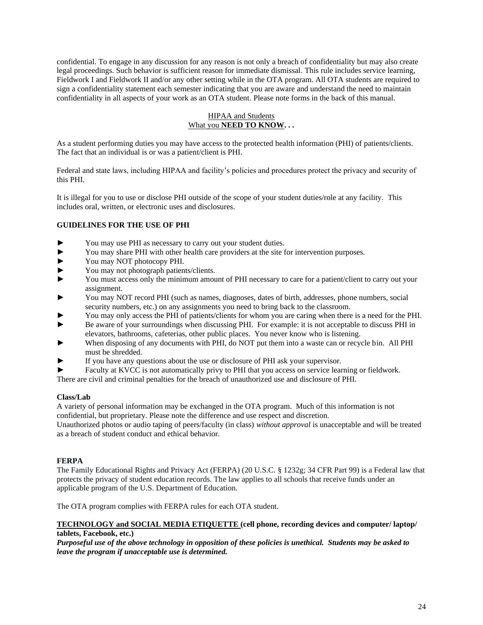confidential. To engage in any discussion for any reason is not only a breach of confidentiality but may also create legal proceedings. Such behavior is sufficient reason for immediate dismissal. This rule includes service learning, Fieldwork I and Fieldwork II and/or any other setting while in the OTA program. All OTA students are required to sign a confidentiality statement each semester indicating that you are aware and understand the need to maintain confidentiality in all aspects of your work as an OTA student. Please note forms in the back of this manual.

#### HIPAA and Students What you **NEED TO KNOW. . .**

As a student performing duties you may have access to the protected health information (PHI) of patients/clients. The fact that an individual is or was a patient/client is PHI.

Federal and state laws, including HIPAA and facility's policies and procedures protect the privacy and security of this PHI.

It is illegal for you to use or disclose PHI outside of the scope of your student duties/role at any facility. This includes oral, written, or electronic uses and disclosures.

## **GUIDELINES FOR THE USE OF PHI**

- You may use PHI as necessary to carry out your student duties.
- ► You may share PHI with other health care providers at the site for intervention purposes.
- ► You may NOT photocopy PHI.
- ► You may not photograph patients/clients.
- ► You must access only the minimum amount of PHI necessary to care for a patient/client to carry out your assignment.
- ► You may NOT record PHI (such as names, diagnoses, dates of birth, addresses, phone numbers, social security numbers, etc.) on any assignments you need to bring back to the classroom.
- You may only access the PHI of patients/clients for whom you are caring when there is a need for the PHI.
- Be aware of your surroundings when discussing PHI. For example: it is not acceptable to discuss PHI in elevators, bathrooms, cafeterias, other public places. You never know who is listening.
- When disposing of any documents with PHI, do NOT put them into a waste can or recycle bin. All PHI must be shredded.
- If you have any questions about the use or disclosure of PHI ask your supervisor.
- Faculty at KVCC is not automatically privy to PHI that you access on service learning or fieldwork.

There are civil and criminal penalties for the breach of unauthorized use and disclosure of PHI.

#### **Class/Lab**

A variety of personal information may be exchanged in the OTA program. Much of this information is not confidential, but proprietary. Please note the difference and use respect and discretion.

Unauthorized photos or audio taping of peers/faculty (in class) *without approval* is unacceptable and will be treated as a breach of student conduct and ethical behavior.

#### **FERPA**

The Family Educational Rights and Privacy Act (FERPA) (20 U.S.C. § 1232g; 34 CFR Part 99) is a Federal law that protects the privacy of student education records. The law applies to all schools that receive funds under an applicable program of the U.S. Department of Education.

The OTA program complies with FERPA rules for each OTA student.

#### **TECHNOLOGY and SOCIAL MEDIA ETIQUETTE (cell phone, recording devices and computer/ laptop/ tablets, Facebook, etc.)**

*Purposeful use of the above technology in opposition of these policies is unethical. Students may be asked to leave the program if unacceptable use is determined.*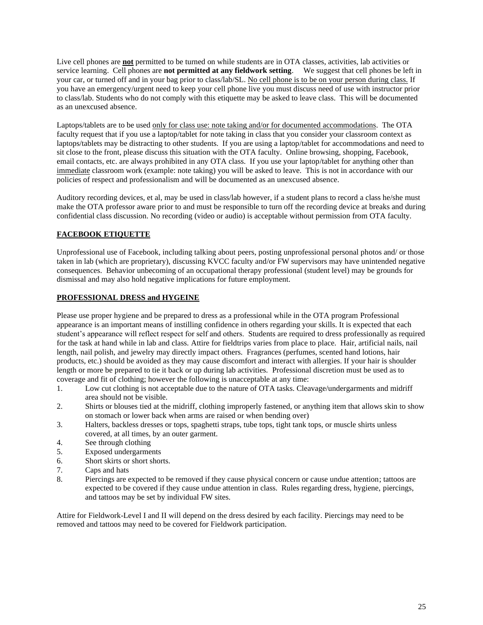Live cell phones are **not** permitted to be turned on while students are in OTA classes, activities, lab activities or service learning. Cell phones are **not permitted at any fieldwork setting**. We suggest that cell phones be left in your car, or turned off and in your bag prior to class/lab/SL. No cell phone is to be on your person during class. If you have an emergency/urgent need to keep your cell phone live you must discuss need of use with instructor prior to class/lab. Students who do not comply with this etiquette may be asked to leave class. This will be documented as an unexcused absence.

Laptops/tablets are to be used only for class use: note taking and/or for documented accommodations. The OTA faculty request that if you use a laptop/tablet for note taking in class that you consider your classroom context as laptops/tablets may be distracting to other students. If you are using a laptop/tablet for accommodations and need to sit close to the front, please discuss this situation with the OTA faculty. Online browsing, shopping, Facebook, email contacts, etc. are always prohibited in any OTA class. If you use your laptop/tablet for anything other than immediate classroom work (example: note taking) you will be asked to leave. This is not in accordance with our policies of respect and professionalism and will be documented as an unexcused absence.

Auditory recording devices, et al, may be used in class/lab however, if a student plans to record a class he/she must make the OTA professor aware prior to and must be responsible to turn off the recording device at breaks and during confidential class discussion. No recording (video or audio) is acceptable without permission from OTA faculty.

## **FACEBOOK ETIQUETTE**

Unprofessional use of Facebook, including talking about peers, posting unprofessional personal photos and/ or those taken in lab (which are proprietary), discussing KVCC faculty and/or FW supervisors may have unintended negative consequences. Behavior unbecoming of an occupational therapy professional (student level) may be grounds for dismissal and may also hold negative implications for future employment.

#### **PROFESSIONAL DRESS and HYGEINE**

Please use proper hygiene and be prepared to dress as a professional while in the OTA program Professional appearance is an important means of instilling confidence in others regarding your skills. It is expected that each student's appearance will reflect respect for self and others. Students are required to dress professionally as required for the task at hand while in lab and class. Attire for fieldtrips varies from place to place. Hair, artificial nails, nail length, nail polish, and jewelry may directly impact others. Fragrances (perfumes, scented hand lotions, hair products, etc.) should be avoided as they may cause discomfort and interact with allergies. If your hair is shoulder length or more be prepared to tie it back or up during lab activities. Professional discretion must be used as to coverage and fit of clothing; however the following is unacceptable at any time:

- 1. Low cut clothing is not acceptable due to the nature of OTA tasks. Cleavage/undergarments and midriff area should not be visible.
- 2. Shirts or blouses tied at the midriff, clothing improperly fastened, or anything item that allows skin to show on stomach or lower back when arms are raised or when bending over)
- 3. Halters, backless dresses or tops, spaghetti straps, tube tops, tight tank tops, or muscle shirts unless covered, at all times, by an outer garment.
- 4. See through clothing
- 5. Exposed undergarments
- 6. Short skirts or short shorts.
- 7. Caps and hats
- 8. Piercings are expected to be removed if they cause physical concern or cause undue attention; tattoos are expected to be covered if they cause undue attention in class. Rules regarding dress, hygiene, piercings, and tattoos may be set by individual FW sites.

Attire for Fieldwork-Level I and II will depend on the dress desired by each facility. Piercings may need to be removed and tattoos may need to be covered for Fieldwork participation.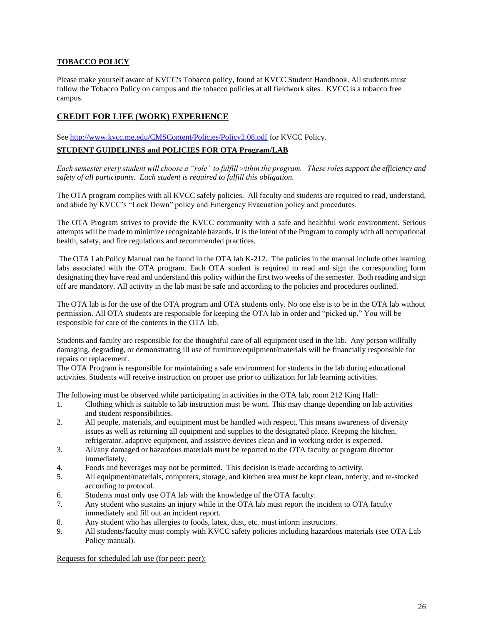## **TOBACCO POLICY**

Please make yourself aware of KVCC's Tobacco policy, found at KVCC Student Handbook. All students must follow the Tobacco Policy on campus and the tobacco policies at all fieldwork sites. KVCC is a tobacco free campus.

## **CREDIT FOR LIFE (WORK) EXPERIENCE**

See<http://www.kvcc.me.edu/CMSContent/Policies/Policy2.08.pdf> for KVCC Policy.

#### **STUDENT GUIDELINES and POLICIES FOR OTA Program/LAB**

*Each semester every student will choose a "role" to fulfill within the program. These roles support the efficiency and safety of all participants. Each student is required to fulfill this obligation.* 

The OTA program complies with all KVCC safely policies. All faculty and students are required to read, understand, and abide by KVCC's "Lock Down" policy and Emergency Evacuation policy and procedures.

The OTA Program strives to provide the KVCC community with a safe and healthful work environment. Serious attempts will be made to minimize recognizable hazards. It is the intent of the Program to comply with all occupational health, safety, and fire regulations and recommended practices.

The OTA Lab Policy Manual can be found in the OTA lab K-212. The policies in the manual include other learning labs associated with the OTA program. Each OTA student is required to read and sign the corresponding form designating they have read and understand this policy within the first two weeks of the semester. Both reading and sign off are mandatory. All activity in the lab must be safe and according to the policies and procedures outlined.

The OTA lab is for the use of the OTA program and OTA students only. No one else is to be in the OTA lab without permission. All OTA students are responsible for keeping the OTA lab in order and "picked up." You will be responsible for care of the contents in the OTA lab.

Students and faculty are responsible for the thoughtful care of all equipment used in the lab. Any person willfully damaging, degrading, or demonstrating ill use of furniture/equipment/materials will be financially responsible for repairs or replacement.

The OTA Program is responsible for maintaining a safe environment for students in the lab during educational activities. Students will receive instruction on proper use prior to utilization for lab learning activities.

The following must be observed while participating in activities in the OTA lab, room 212 King Hall:

- 1. Clothing which is suitable to lab instruction must be worn. This may change depending on lab activities and student responsibilities.
- 2. All people, materials, and equipment must be handled with respect. This means awareness of diversity issues as well as returning all equipment and supplies to the designated place. Keeping the kitchen, refrigerator, adaptive equipment, and assistive devices clean and in working order is expected.
- 3. All/any damaged or hazardous materials must be reported to the OTA faculty or program director immediately.
- 4. Foods and beverages may not be permitted. This decision is made according to activity.
- 5. All equipment/materials, computers, storage, and kitchen area must be kept clean, orderly, and re-stocked according to protocol.
- 6. Students must only use OTA lab with the knowledge of the OTA faculty.
- 7. Any student who sustains an injury while in the OTA lab must report the incident to OTA faculty immediately and fill out an incident report.
- 8. Any student who has allergies to foods, latex, dust, etc. must inform instructors.
- 9. All students/faculty must comply with KVCC safety policies including hazardous materials (see OTA Lab Policy manual).

Requests for scheduled lab use (for peer: peer):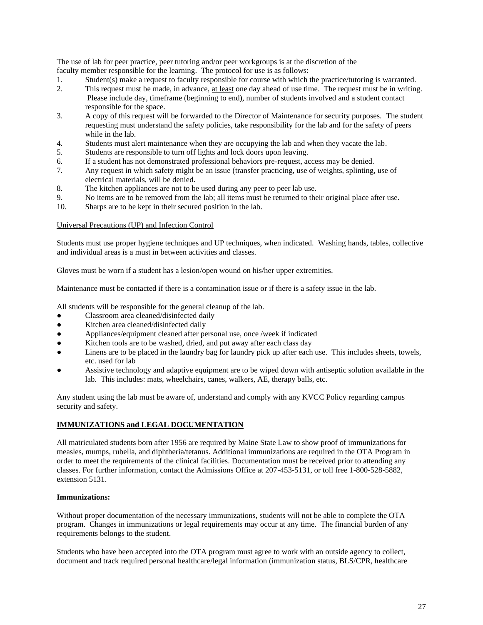The use of lab for peer practice, peer tutoring and/or peer workgroups is at the discretion of the faculty member responsible for the learning. The protocol for use is as follows:

- 1. Student(s) make a request to faculty responsible for course with which the practice/tutoring is warranted.
- 2. This request must be made, in advance, at least one day ahead of use time. The request must be in writing. Please include day, timeframe (beginning to end), number of students involved and a student contact responsible for the space.
- 3. A copy of this request will be forwarded to the Director of Maintenance for security purposes. The student requesting must understand the safety policies, take responsibility for the lab and for the safety of peers while in the lab.
- 4. Students must alert maintenance when they are occupying the lab and when they vacate the lab.
- 5. Students are responsible to turn off lights and lock doors upon leaving.
- 6. If a student has not demonstrated professional behaviors pre-request, access may be denied.
- 7. Any request in which safety might be an issue (transfer practicing, use of weights, splinting, use of electrical materials, will be denied.
- 8. The kitchen appliances are not to be used during any peer to peer lab use.
- 9. No items are to be removed from the lab; all items must be returned to their original place after use.
- 10. Sharps are to be kept in their secured position in the lab.

#### Universal Precautions (UP) and Infection Control

Students must use proper hygiene techniques and UP techniques, when indicated. Washing hands, tables, collective and individual areas is a must in between activities and classes.

Gloves must be worn if a student has a lesion/open wound on his/her upper extremities.

Maintenance must be contacted if there is a contamination issue or if there is a safety issue in the lab.

All students will be responsible for the general cleanup of the lab.

- Classroom area cleaned/disinfected daily
- Kitchen area cleaned/disinfected daily
- Appliances/equipment cleaned after personal use, once /week if indicated
- Kitchen tools are to be washed, dried, and put away after each class day
- Linens are to be placed in the laundry bag for laundry pick up after each use. This includes sheets, towels, etc. used for lab
- Assistive technology and adaptive equipment are to be wiped down with antiseptic solution available in the lab. This includes: mats, wheelchairs, canes, walkers, AE, therapy balls, etc.

Any student using the lab must be aware of, understand and comply with any KVCC Policy regarding campus security and safety.

#### **IMMUNIZATIONS and LEGAL DOCUMENTATION**

All matriculated students born after 1956 are required by Maine State Law to show proof of immunizations for measles, mumps, rubella, and diphtheria/tetanus. Additional immunizations are required in the OTA Program in order to meet the requirements of the clinical facilities. Documentation must be received prior to attending any classes. For further information, contact the Admissions Office at 207-453-5131, or toll free 1-800-528-5882, extension 5131.

#### **Immunizations:**

Without proper documentation of the necessary immunizations, students will not be able to complete the OTA program. Changes in immunizations or legal requirements may occur at any time. The financial burden of any requirements belongs to the student.

Students who have been accepted into the OTA program must agree to work with an outside agency to collect, document and track required personal healthcare/legal information (immunization status, BLS/CPR, healthcare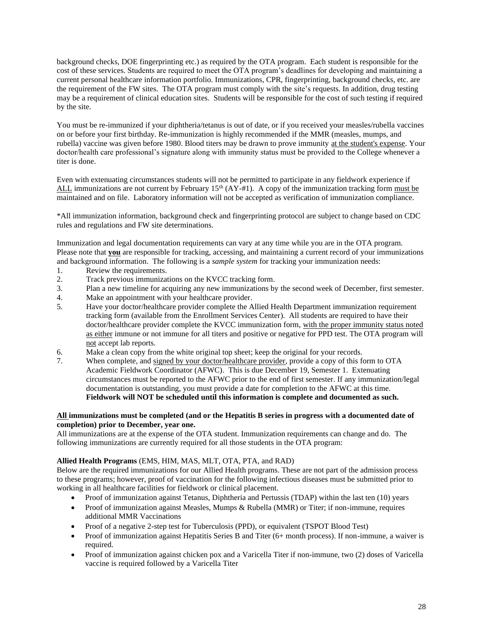background checks, DOE fingerprinting etc.) as required by the OTA program. Each student is responsible for the cost of these services. Students are required to meet the OTA program's deadlines for developing and maintaining a current personal healthcare information portfolio. Immunizations, CPR, fingerprinting, background checks, etc. are the requirement of the FW sites. The OTA program must comply with the site's requests. In addition, drug testing may be a requirement of clinical education sites. Students will be responsible for the cost of such testing if required by the site.

You must be re-immunized if your diphtheria/tetanus is out of date, or if you received your measles/rubella vaccines on or before your first birthday. Re-immunization is highly recommended if the MMR (measles, mumps, and rubella) vaccine was given before 1980. Blood titers may be drawn to prove immunity at the student's expense. Your doctor/health care professional's signature along with immunity status must be provided to the College whenever a titer is done.

Even with extenuating circumstances students will not be permitted to participate in any fieldwork experience if ALL immunizations are not current by February  $15<sup>th</sup> (AY-#1)$ . A copy of the immunization tracking form must be maintained and on file. Laboratory information will not be accepted as verification of immunization compliance.

\*All immunization information, background check and fingerprinting protocol are subject to change based on CDC rules and regulations and FW site determinations.

Immunization and legal documentation requirements can vary at any time while you are in the OTA program. Please note that **you** are responsible for tracking, accessing, and maintaining a current record of your immunizations and background information. The following is a *sample system* for tracking your immunization needs:

- 1. Review the requirements.
- 2. Track previous immunizations on the KVCC tracking form.
- 3. Plan a new timeline for acquiring any new immunizations by the second week of December, first semester.
- 4. Make an appointment with your healthcare provider.
- 5. Have your doctor/healthcare provider complete the Allied Health Department immunization requirement tracking form (available from the Enrollment Services Center). All students are required to have their doctor/healthcare provider complete the KVCC immunization form, with the proper immunity status noted as either immune or not immune for all titers and positive or negative for PPD test. The OTA program will not accept lab reports.
- 6. Make a clean copy from the white original top sheet; keep the original for your records.
- 7. When complete, and signed by your doctor/healthcare provider, provide a copy of this form to OTA Academic Fieldwork Coordinator (AFWC). This is due December 19, Semester 1. Extenuating circumstances must be reported to the AFWC prior to the end of first semester. If any immunization/legal documentation is outstanding, you must provide a date for completion to the AFWC at this time. **Fieldwork will NOT be scheduled until this information is complete and documented as such.**

#### **All immunizations must be completed (and or the Hepatitis B series in progress with a documented date of completion) prior to December, year one.**

All immunizations are at the expense of the OTA student. Immunization requirements can change and do. The following immunizations are currently required for all those students in the OTA program:

#### **Allied Health Programs** (EMS, HIM, MAS, MLT, OTA, PTA, and RAD)

Below are the required immunizations for our Allied Health programs. These are not part of the admission process to these programs; however, proof of vaccination for the following infectious diseases must be submitted prior to working in all healthcare facilities for fieldwork or clinical placement.

- Proof of immunization against Tetanus, Diphtheria and Pertussis (TDAP) within the last ten (10) years
- Proof of immunization against Measles, Mumps & Rubella (MMR) or Titer; if non-immune, requires additional MMR Vaccinations
- Proof of a negative 2-step test for Tuberculosis (PPD), or equivalent (TSPOT Blood Test)
- Proof of immunization against Hepatitis Series B and Titer (6+ month process). If non-immune, a waiver is required.
- Proof of immunization against chicken pox and a Varicella Titer if non-immune, two (2) doses of Varicella vaccine is required followed by a Varicella Titer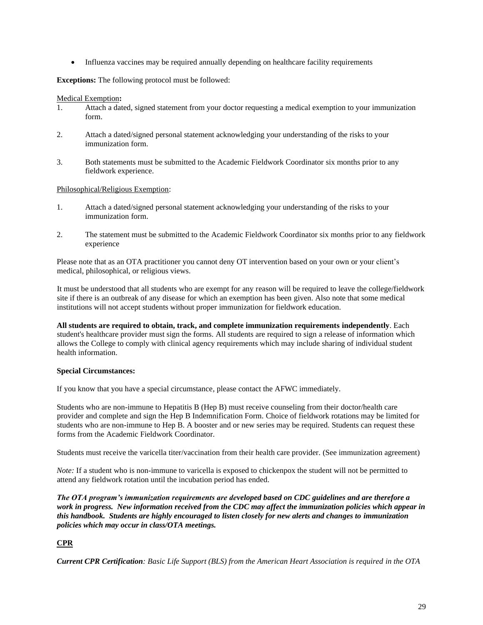• Influenza vaccines may be required annually depending on healthcare facility requirements

**Exceptions:** The following protocol must be followed:

#### Medical Exemption**:**

- 1. Attach a dated, signed statement from your doctor requesting a medical exemption to your immunization form.
- 2. Attach a dated/signed personal statement acknowledging your understanding of the risks to your immunization form.
- 3. Both statements must be submitted to the Academic Fieldwork Coordinator six months prior to any fieldwork experience.

Philosophical/Religious Exemption:

- 1. Attach a dated/signed personal statement acknowledging your understanding of the risks to your immunization form.
- 2. The statement must be submitted to the Academic Fieldwork Coordinator six months prior to any fieldwork experience

Please note that as an OTA practitioner you cannot deny OT intervention based on your own or your client's medical, philosophical, or religious views.

It must be understood that all students who are exempt for any reason will be required to leave the college/fieldwork site if there is an outbreak of any disease for which an exemption has been given. Also note that some medical institutions will not accept students without proper immunization for fieldwork education.

**All students are required to obtain, track, and complete immunization requirements independently**. Each student's healthcare provider must sign the forms. All students are required to sign a release of information which allows the College to comply with clinical agency requirements which may include sharing of individual student health information.

## **Special Circumstances:**

If you know that you have a special circumstance, please contact the AFWC immediately.

Students who are non-immune to Hepatitis B (Hep B) must receive counseling from their doctor/health care provider and complete and sign the Hep B Indemnification Form. Choice of fieldwork rotations may be limited for students who are non-immune to Hep B. A booster and or new series may be required. Students can request these forms from the Academic Fieldwork Coordinator.

Students must receive the varicella titer/vaccination from their health care provider. (See immunization agreement)

*Note:* If a student who is non-immune to varicella is exposed to chickenpox the student will not be permitted to attend any fieldwork rotation until the incubation period has ended.

*The OTA program's immunization requirements are developed based on CDC guidelines and are therefore a work in progress. New information received from the CDC may affect the immunization policies which appear in this handbook. Students are highly encouraged to listen closely for new alerts and changes to immunization policies which may occur in class/OTA meetings.* 

## **CPR**

*Current CPR Certification: Basic Life Support (BLS) from the American Heart Association is required in the OTA*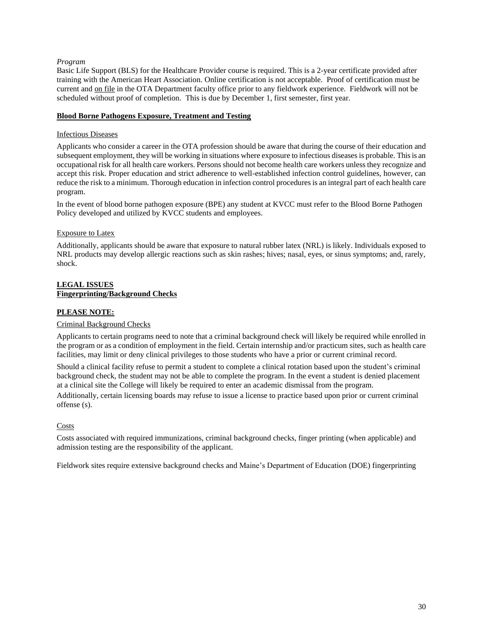#### *Program*

Basic Life Support (BLS) for the Healthcare Provider course is required. This is a 2-year certificate provided after training with the American Heart Association. Online certification is not acceptable. Proof of certification must be current and on file in the OTA Department faculty office prior to any fieldwork experience. Fieldwork will not be scheduled without proof of completion. This is due by December 1, first semester, first year.

#### **Blood Borne Pathogens Exposure, Treatment and Testing**

#### Infectious Diseases

Applicants who consider a career in the OTA profession should be aware that during the course of their education and subsequent employment, they will be working in situations where exposure to infectious diseases is probable. This is an occupational risk for all health care workers. Persons should not become health care workers unless they recognize and accept this risk. Proper education and strict adherence to well-established infection control guidelines, however, can reduce the risk to a minimum. Thorough education in infection control procedures is an integral part of each health care program.

In the event of blood borne pathogen exposure (BPE) any student at KVCC must refer to the Blood Borne Pathogen Policy developed and utilized by KVCC students and employees.

## Exposure to Latex

Additionally, applicants should be aware that exposure to natural rubber latex (NRL) is likely. Individuals exposed to NRL products may develop allergic reactions such as skin rashes; hives; nasal, eyes, or sinus symptoms; and, rarely, shock.

#### **LEGAL ISSUES Fingerprinting/Background Checks**

## **PLEASE NOTE:**

#### Criminal Background Checks

Applicants to certain programs need to note that a criminal background check will likely be required while enrolled in the program or as a condition of employment in the field. Certain internship and/or practicum sites, such as health care facilities, may limit or deny clinical privileges to those students who have a prior or current criminal record.

Should a clinical facility refuse to permit a student to complete a clinical rotation based upon the student's criminal background check, the student may not be able to complete the program. In the event a student is denied placement at a clinical site the College will likely be required to enter an academic dismissal from the program.

Additionally, certain licensing boards may refuse to issue a license to practice based upon prior or current criminal offense (s).

#### **Costs**

Costs associated with required immunizations, criminal background checks, finger printing (when applicable) and admission testing are the responsibility of the applicant.

Fieldwork sites require extensive background checks and Maine's Department of Education (DOE) fingerprinting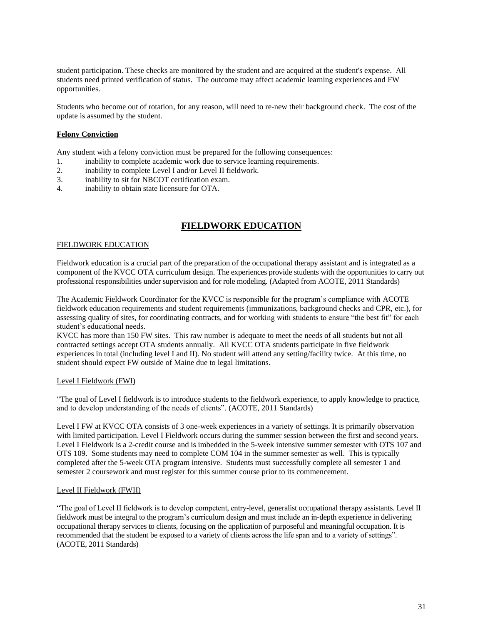student participation. These checks are monitored by the student and are acquired at the student's expense. All students need printed verification of status. The outcome may affect academic learning experiences and FW opportunities.

Students who become out of rotation, for any reason, will need to re-new their background check. The cost of the update is assumed by the student.

#### **Felony Conviction**

Any student with a felony conviction must be prepared for the following consequences:

- 1. inability to complete academic work due to service learning requirements.
- 2. inability to complete Level I and/or Level II fieldwork.
- 3. inability to sit for NBCOT certification exam.
- 4. inability to obtain state licensure for OTA.

## **FIELDWORK EDUCATION**

#### FIELDWORK EDUCATION

Fieldwork education is a crucial part of the preparation of the occupational therapy assistant and is integrated as a component of the KVCC OTA curriculum design. The experiences provide students with the opportunities to carry out professional responsibilities under supervision and for role modeling. (Adapted from ACOTE, 2011 Standards)

The Academic Fieldwork Coordinator for the KVCC is responsible for the program's compliance with ACOTE fieldwork education requirements and student requirements (immunizations, background checks and CPR, etc.), for assessing quality of sites, for coordinating contracts, and for working with students to ensure "the best fit" for each student's educational needs.

KVCC has more than 150 FW sites. This raw number is adequate to meet the needs of all students but not all contracted settings accept OTA students annually. All KVCC OTA students participate in five fieldwork experiences in total (including level I and II). No student will attend any setting/facility twice. At this time, no student should expect FW outside of Maine due to legal limitations.

#### Level I Fieldwork (FWI)

"The goal of Level I fieldwork is to introduce students to the fieldwork experience, to apply knowledge to practice, and to develop understanding of the needs of clients". (ACOTE, 2011 Standards)

Level I FW at KVCC OTA consists of 3 one-week experiences in a variety of settings. It is primarily observation with limited participation. Level I Fieldwork occurs during the summer session between the first and second years. Level I Fieldwork is a 2-credit course and is imbedded in the 5-week intensive summer semester with OTS 107 and OTS 109. Some students may need to complete COM 104 in the summer semester as well. This is typically completed after the 5-week OTA program intensive. Students must successfully complete all semester 1 and semester 2 coursework and must register for this summer course prior to its commencement.

#### Level II Fieldwork (FWII)

"The goal of Level II fieldwork is to develop competent, entry-level, generalist occupational therapy assistants. Level II fieldwork must be integral to the program's curriculum design and must include an in-depth experience in delivering occupational therapy services to clients, focusing on the application of purposeful and meaningful occupation. It is recommended that the student be exposed to a variety of clients across the life span and to a variety of settings". (ACOTE, 2011 Standards)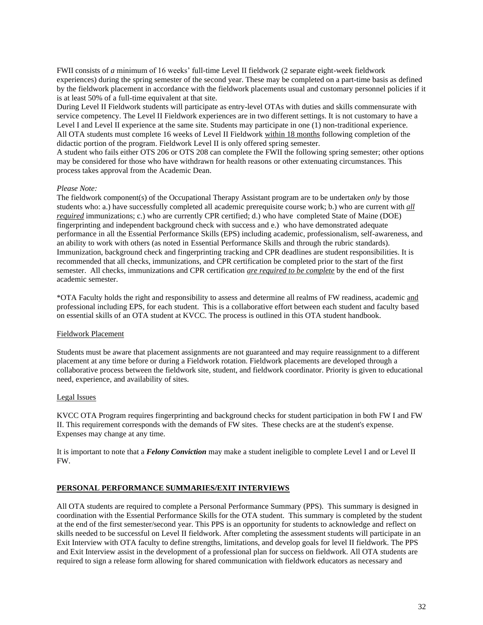FWII consists of *a* minimum of 16 weeks' full-time Level II fieldwork (2 separate eight-week fieldwork experiences) during the spring semester of the second year. These may be completed on a part-time basis as defined by the fieldwork placement in accordance with the fieldwork placements usual and customary personnel policies if it is at least 50% of a full-time equivalent at that site.

During Level II Fieldwork students will participate as entry-level OTAs with duties and skills commensurate with service competency. The Level II Fieldwork experiences are in two different settings. It is not customary to have a Level I and Level II experience at the same site. Students may participate in one (1) non-traditional experience. All OTA students must complete 16 weeks of Level II Fieldwork within 18 months following completion of the didactic portion of the program. Fieldwork Level II is only offered spring semester.

A student who fails either OTS 206 or OTS 208 can complete the FWII the following spring semester; other options may be considered for those who have withdrawn for health reasons or other extenuating circumstances. This process takes approval from the Academic Dean.

#### *Please Note:*

The fieldwork component(s) of the Occupational Therapy Assistant program are to be undertaken *only* by those students who: a.) have successfully completed all academic prerequisite course work; b.) who are current with *all required* immunizations; c.) who are currently CPR certified; d.) who have completed State of Maine (DOE) fingerprinting and independent background check with success and e.) who have demonstrated adequate performance in all the Essential Performance Skills (EPS) including academic, professionalism, self-awareness, and an ability to work with others (as noted in Essential Performance Skills and through the rubric standards). Immunization, background check and fingerprinting tracking and CPR deadlines are student responsibilities. It is recommended that all checks, immunizations, and CPR certification be completed prior to the start of the first semester. All checks, immunizations and CPR certification *are required to be complete* by the end of the first academic semester.

\*OTA Faculty holds the right and responsibility to assess and determine all realms of FW readiness, academic and professional including EPS, for each student. This is a collaborative effort between each student and faculty based on essential skills of an OTA student at KVCC. The process is outlined in this OTA student handbook.

#### Fieldwork Placement

Students must be aware that placement assignments are not guaranteed and may require reassignment to a different placement at any time before or during a Fieldwork rotation. Fieldwork placements are developed through a collaborative process between the fieldwork site, student, and fieldwork coordinator. Priority is given to educational need, experience, and availability of sites.

#### Legal Issues

KVCC OTA Program requires fingerprinting and background checks for student participation in both FW I and FW II. This requirement corresponds with the demands of FW sites. These checks are at the student's expense. Expenses may change at any time.

It is important to note that a *Felony Conviction* may make a student ineligible to complete Level I and or Level II FW.

#### **PERSONAL PERFORMANCE SUMMARIES/EXIT INTERVIEWS**

All OTA students are required to complete a Personal Performance Summary (PPS). This summary is designed in coordination with the Essential Performance Skills for the OTA student. This summary is completed by the student at the end of the first semester/second year. This PPS is an opportunity for students to acknowledge and reflect on skills needed to be successful on Level II fieldwork. After completing the assessment students will participate in an Exit Interview with OTA faculty to define strengths, limitations, and develop goals for level II fieldwork. The PPS and Exit Interview assist in the development of a professional plan for success on fieldwork. All OTA students are required to sign a release form allowing for shared communication with fieldwork educators as necessary and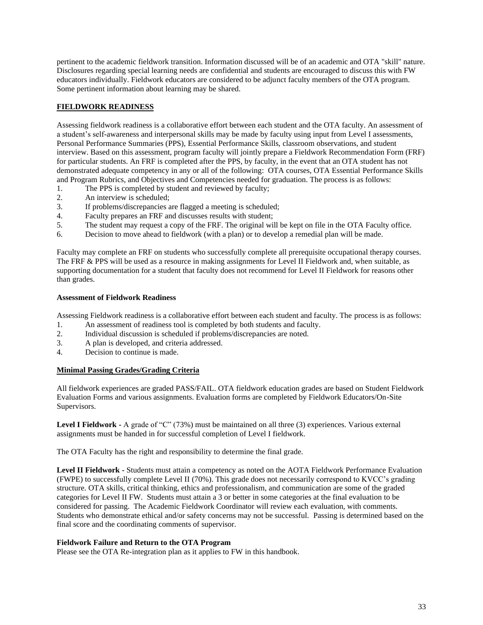pertinent to the academic fieldwork transition. Information discussed will be of an academic and OTA "skill" nature. Disclosures regarding special learning needs are confidential and students are encouraged to discuss this with FW educators individually. Fieldwork educators are considered to be adjunct faculty members of the OTA program. Some pertinent information about learning may be shared.

## **FIELDWORK READINESS**

Assessing fieldwork readiness is a collaborative effort between each student and the OTA faculty. An assessment of a student's self-awareness and interpersonal skills may be made by faculty using input from Level I assessments, Personal Performance Summaries (PPS), Essential Performance Skills, classroom observations, and student interview. Based on this assessment, program faculty will jointly prepare a Fieldwork Recommendation Form (FRF) for particular students. An FRF is completed after the PPS, by faculty, in the event that an OTA student has not demonstrated adequate competency in any or all of the following: OTA courses, OTA Essential Performance Skills and Program Rubrics, and Objectives and Competencies needed for graduation. The process is as follows:

- 1. The PPS is completed by student and reviewed by faculty;
- 2. An interview is scheduled;
- 3. If problems/discrepancies are flagged a meeting is scheduled;
- 4. Faculty prepares an FRF and discusses results with student;
- 5. The student may request a copy of the FRF. The original will be kept on file in the OTA Faculty office.
- 6. Decision to move ahead to fieldwork (with a plan) or to develop a remedial plan will be made.

Faculty may complete an FRF on students who successfully complete all prerequisite occupational therapy courses. The FRF & PPS will be used as a resource in making assignments for Level II Fieldwork and, when suitable, as supporting documentation for a student that faculty does not recommend for Level II Fieldwork for reasons other than grades.

#### **Assessment of Fieldwork Readiness**

Assessing Fieldwork readiness is a collaborative effort between each student and faculty. The process is as follows:

- 1. An assessment of readiness tool is completed by both students and faculty.
- 2. Individual discussion is scheduled if problems/discrepancies are noted.
- 3. A plan is developed, and criteria addressed.
- 4. Decision to continue is made.

#### **Minimal Passing Grades/Grading Criteria**

All fieldwork experiences are graded PASS/FAIL. OTA fieldwork education grades are based on Student Fieldwork Evaluation Forms and various assignments. Evaluation forms are completed by Fieldwork Educators/On-Site Supervisors.

**Level I Fieldwork -** A grade of "C" (73%) must be maintained on all three (3) experiences. Various external assignments must be handed in for successful completion of Level I fieldwork.

The OTA Faculty has the right and responsibility to determine the final grade.

**Level II Fieldwork -** Students must attain a competency as noted on the AOTA Fieldwork Performance Evaluation (FWPE) to successfully complete Level II (70%). This grade does not necessarily correspond to KVCC's grading structure. OTA skills, critical thinking, ethics and professionalism, and communication are some of the graded categories for Level II FW. Students must attain a 3 or better in some categories at the final evaluation to be considered for passing. The Academic Fieldwork Coordinator will review each evaluation, with comments. Students who demonstrate ethical and/or safety concerns may not be successful. Passing is determined based on the final score and the coordinating comments of supervisor.

#### **Fieldwork Failure and Return to the OTA Program**

Please see the OTA Re-integration plan as it applies to FW in this handbook.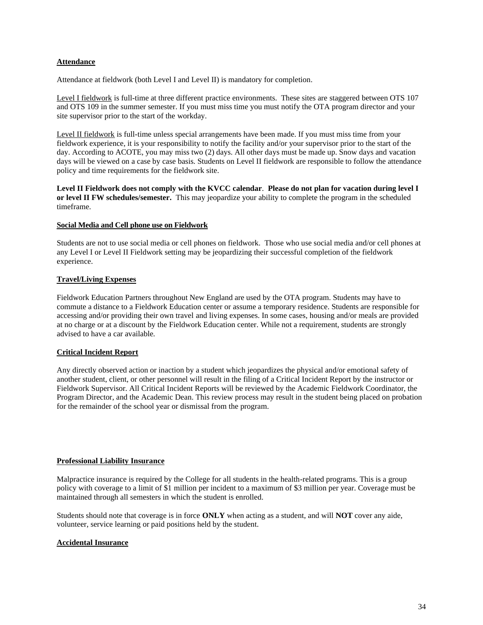#### **Attendance**

Attendance at fieldwork (both Level I and Level II) is mandatory for completion.

Level I fieldwork is full-time at three different practice environments. These sites are staggered between OTS 107 and OTS 109 in the summer semester. If you must miss time you must notify the OTA program director and your site supervisor prior to the start of the workday.

Level II fieldwork is full-time unless special arrangements have been made. If you must miss time from your fieldwork experience, it is your responsibility to notify the facility and/or your supervisor prior to the start of the day. According to ACOTE, you may miss two (2) days. All other days must be made up. Snow days and vacation days will be viewed on a case by case basis. Students on Level II fieldwork are responsible to follow the attendance policy and time requirements for the fieldwork site.

**Level II Fieldwork does not comply with the KVCC calendar**. **Please do not plan for vacation during level I or level II FW schedules/semester.** This may jeopardize your ability to complete the program in the scheduled timeframe.

#### **Social Media and Cell phone use on Fieldwork**

Students are not to use social media or cell phones on fieldwork. Those who use social media and/or cell phones at any Level I or Level II Fieldwork setting may be jeopardizing their successful completion of the fieldwork experience.

#### **Travel/Living Expenses**

Fieldwork Education Partners throughout New England are used by the OTA program. Students may have to commute a distance to a Fieldwork Education center or assume a temporary residence. Students are responsible for accessing and/or providing their own travel and living expenses. In some cases, housing and/or meals are provided at no charge or at a discount by the Fieldwork Education center. While not a requirement, students are strongly advised to have a car available.

#### **Critical Incident Report**

Any directly observed action or inaction by a student which jeopardizes the physical and/or emotional safety of another student, client, or other personnel will result in the filing of a Critical Incident Report by the instructor or Fieldwork Supervisor. All Critical Incident Reports will be reviewed by the Academic Fieldwork Coordinator, the Program Director, and the Academic Dean. This review process may result in the student being placed on probation for the remainder of the school year or dismissal from the program.

#### **Professional Liability Insurance**

Malpractice insurance is required by the College for all students in the health-related programs. This is a group policy with coverage to a limit of \$1 million per incident to a maximum of \$3 million per year. Coverage must be maintained through all semesters in which the student is enrolled.

Students should note that coverage is in force **ONLY** when acting as a student, and will **NOT** cover any aide, volunteer, service learning or paid positions held by the student.

#### **Accidental Insurance**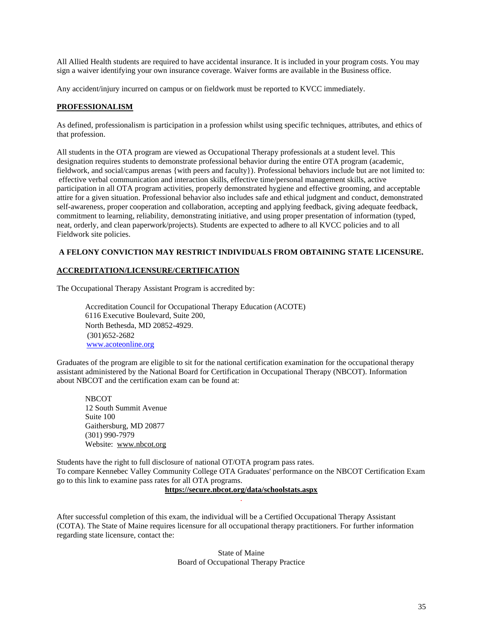All Allied Health students are required to have accidental insurance. It is included in your program costs. You may sign a waiver identifying your own insurance coverage. Waiver forms are available in the Business office.

Any accident/injury incurred on campus or on fieldwork must be reported to KVCC immediately.

#### **PROFESSIONALISM**

As defined, professionalism is participation in a profession whilst using specific techniques, attributes, and ethics of that profession.

All students in the OTA program are viewed as Occupational Therapy professionals at a student level. This designation requires students to demonstrate professional behavior during the entire OTA program (academic, fieldwork, and social/campus arenas {with peers and faculty}). Professional behaviors include but are not limited to: effective verbal communication and interaction skills, effective time/personal management skills, active participation in all OTA program activities, properly demonstrated hygiene and effective grooming, and acceptable attire for a given situation. Professional behavior also includes safe and ethical judgment and conduct, demonstrated self-awareness, proper cooperation and collaboration, accepting and applying feedback, giving adequate feedback, commitment to learning, reliability, demonstrating initiative, and using proper presentation of information (typed, neat, orderly, and clean paperwork/projects). Students are expected to adhere to all KVCC policies and to all Fieldwork site policies.

## **A FELONY CONVICTION MAY RESTRICT INDIVIDUALS FROM OBTAINING STATE LICENSURE.**

#### **ACCREDITATION/LICENSURE/CERTIFICATION**

The Occupational Therapy Assistant Program is accredited by:

Accreditation Council for Occupational Therapy Education (ACOTE) 6116 Executive Boulevard, Suite 200, North Bethesda, MD 20852-4929. (301)652-2682 [www.acoteonline.org](http://www.acoteonline.org/)

Graduates of the program are eligible to sit for the national certification examination for the occupational therapy assistant administered by the National Board for Certification in Occupational Therapy (NBCOT). Information about NBCOT and the certification exam can be found at:

**NBCOT** 12 South Summit Avenue Suite 100 Gaithersburg, MD 20877 (301) 990-7979 Website: [www.nbcot.org](http://www.nbcot.org/)

Students have the right to full disclosure of national OT/OTA program pass rates. To compare Kennebec Valley Community College OTA Graduates' performance on the NBCOT Certification Exam go to this link to examine pass rates for all OTA programs.

**[https://secure.nbcot.org/data/schoolstats.aspx](https://mail.kvcc.me.edu/owa/redir.aspx?C=myiQq_ctTU2Sbh4o8-1MNmVYRlonidEIDV0AsC3SIlNcb7TBr8T7DdAyR24sWeZ2qR6-Q3sakFw.&URL=https%3a%2f%2fsecure.nbcot.org%2fdata%2fschoolstats.aspx)** .

After successful completion of this exam, the individual will be a Certified Occupational Therapy Assistant (COTA). The State of Maine requires licensure for all occupational therapy practitioners. For further information regarding state licensure, contact the:

> State of Maine Board of Occupational Therapy Practice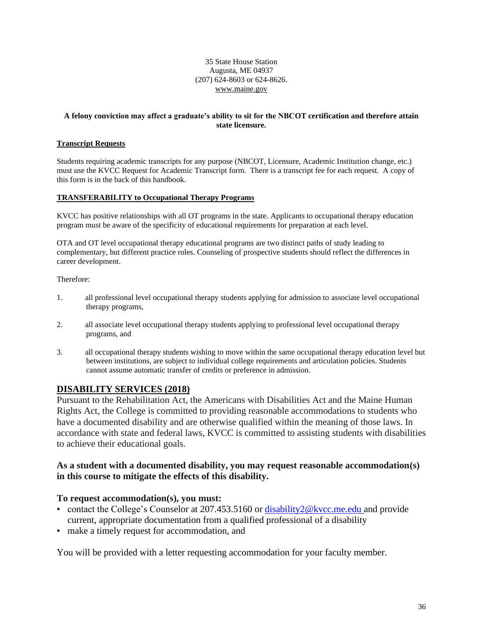#### 35 State House Station Augusta, ME 04937 (207) 624-8603 or 624-8626. [www.maine.gov](http://www.maine.gov/)

## **A felony conviction may affect a graduate's ability to sit for the NBCOT certification and therefore attain state licensure.**

## **Transcript Requests**

Students requiring academic transcripts for any purpose (NBCOT, Licensure, Academic Institution change, etc.) must use the KVCC Request for Academic Transcript form. There is a transcript fee for each request. A copy of this form is in the back of this handbook.

## **TRANSFERABILITY to Occupational Therapy Programs**

KVCC has positive relationships with all OT programs in the state. Applicants to occupational therapy education program must be aware of the specificity of educational requirements for preparation at each level.

OTA and OT level occupational therapy educational programs are two distinct paths of study leading to complementary, but different practice roles. Counseling of prospective students should reflect the differences in career development.

Therefore:

- 1. all professional level occupational therapy students applying for admission to associate level occupational therapy programs,
- 2. all associate level occupational therapy students applying to professional level occupational therapy programs, and
- 3. all occupational therapy students wishing to move within the same occupational therapy education level but between institutions, are subject to individual college requirements and articulation policies. Students cannot assume automatic transfer of credits or preference in admission.

## **DISABILITY SERVICES (2018)**

Pursuant to the Rehabilitation Act, the Americans with Disabilities Act and the Maine Human Rights Act, the College is committed to providing reasonable accommodations to students who have a documented disability and are otherwise qualified within the meaning of those laws. In accordance with state and federal laws, KVCC is committed to assisting students with disabilities to achieve their educational goals.

## **As a student with a documented disability, you may request reasonable accommodation(s) in this course to mitigate the effects of this disability.**

## **To request accommodation(s), you must:**

- contact the College's Counselor at 207.453.5160 or disability 2@kvcc.me.edu and provide current, appropriate documentation from a qualified professional of a disability
- make a timely request for accommodation, and

You will be provided with a letter requesting accommodation for your faculty member.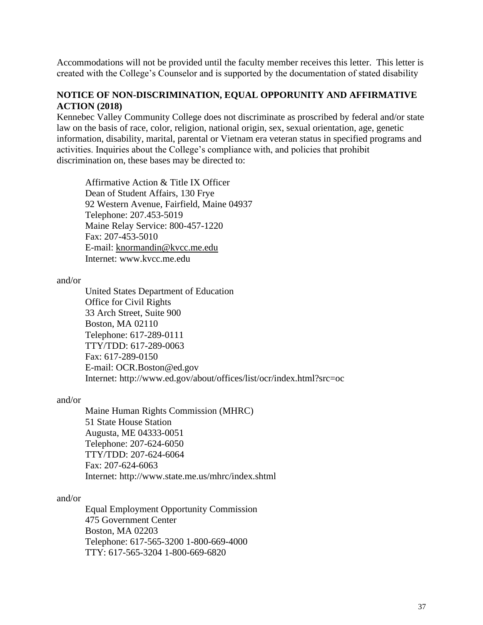Accommodations will not be provided until the faculty member receives this letter. This letter is created with the College's Counselor and is supported by the documentation of stated disability

## **NOTICE OF NON-DISCRIMINATION, EQUAL OPPORUNITY AND AFFIRMATIVE ACTION (2018)**

Kennebec Valley Community College does not discriminate as proscribed by federal and/or state law on the basis of race, color, religion, national origin, sex, sexual orientation, age, genetic information, disability, marital, parental or Vietnam era veteran status in specified programs and activities. Inquiries about the College's compliance with, and policies that prohibit discrimination on, these bases may be directed to:

Affirmative Action & Title IX Officer Dean of Student Affairs, 130 Frye 92 Western Avenue, Fairfield, Maine 04937 Telephone: 207.453-5019 Maine Relay Service: 800-457-1220 Fax: 207-453-5010 E-mail: knormandin@kvcc.me.edu Internet: www.kvcc.me.edu

and/or

United States Department of Education Office for Civil Rights 33 Arch Street, Suite 900 Boston, MA 02110 Telephone: 617-289-0111 TTY/TDD: 617-289-0063 Fax: 617-289-0150 E-mail: OCR.Boston@ed.gov Internet: http://www.ed.gov/about/offices/list/ocr/index.html?src=oc

and/or

Maine Human Rights Commission (MHRC) 51 State House Station Augusta, ME 04333-0051 Telephone: 207-624-6050 TTY/TDD: 207-624-6064 Fax: 207-624-6063 Internet: http://www.state.me.us/mhrc/index.shtml

and/or

Equal Employment Opportunity Commission 475 Government Center Boston, MA 02203 Telephone: 617-565-3200 1-800-669-4000 TTY: 617-565-3204 1-800-669-6820